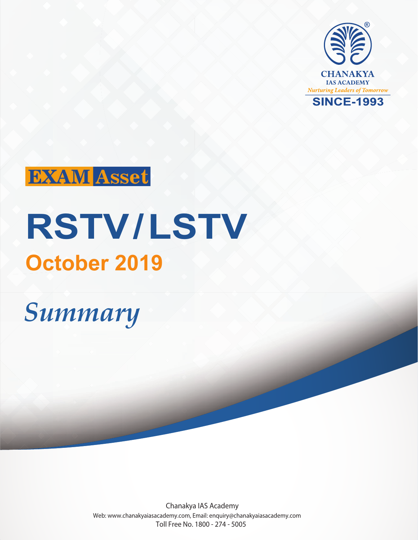

# **EXAM** Asset

# **RSTV/LSTV October 2019**

# *Summary*

Chanakya IAS Academy Web: www.chanakyaiasacademy.com, Email: enquiry@chanakyaiasacademy.com Toll Free No. 1800 - 274 - 5005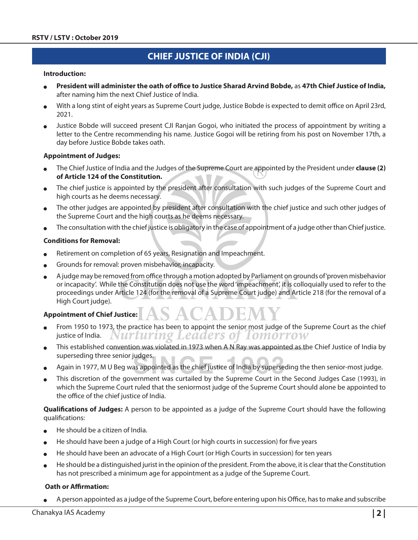# **CHIEF JUSTICE OF INDIA (CJI)**

#### **Introduction:**

- <sup>O</sup> **President will administer the oath of office to Justice Sharad Arvind Bobde,** as **47th Chief Justice of India,**  after naming him the next Chief Justice of India.
- With a long stint of eight years as Supreme Court judge, Justice Bobde is expected to demit office on April 23rd, 2021.
- Justice Bobde will succeed present CJI Ranjan Gogoi, who initiated the process of appointment by writing a letter to the Centre recommending his name. Justice Gogoi will be retiring from his post on November 17th, a day before Justice Bobde takes oath.

#### **Appointment of Judges:**

- <sup>O</sup> The Chief Justice of India and the Judges of the Supreme Court are appointed by the President under **clause (2) of Article 124 of the Constitution.**
- The chief justice is appointed by the president after consultation with such judges of the Supreme Court and high courts as he deems necessary.
- The other judges are appointed by president after consultation with the chief justice and such other judges of the Supreme Court and the high courts as he deems necessary.
- The consultation with the chief justice is obligatory in the case of appointment of a judge other than Chief justice.

#### **Conditions for Removal:**

Retirement on completion of 65 years, Resignation and Impeachment.

╲

- Grounds for removal: proven misbehavior, incapacity.
- A judge may be removed from office through a motion adopted by Parliament on grounds of 'proven misbehavior or incapacity'. While the Constitution does not use the word 'impeachment', it is colloquially used to refer to the proceedings under Article 124 (for the removal of a Supreme Court judge) and Article 218 (for the removal of a High Court judge).

#### **Appointment of Chief Justice:**

- From 1950 to 1973, the practice has been to appoint the senior most judge of the Supreme Court as the chief justice of India. Nurturing Leaders of Tomorrow
- This established convention was violated in 1973 when A N Ray was appointed as the Chief Justice of India by superseding three senior judges.
- Again in 1977, M U Beg was appointed as the chief justice of India by superseding the then senior-most judge.
- This discretion of the government was curtailed by the Supreme Court in the Second Judges Case (1993), in which the Supreme Court ruled that the seniormost judge of the Supreme Court should alone be appointed to the office of the chief justice of India.

**Qualifications of Judges:** A person to be appointed as a judge of the Supreme Court should have the following qualifications:

- He should be a citizen of India.
- He should have been a judge of a High Court (or high courts in succession) for five years
- He should have been an advocate of a High Court (or High Courts in succession) for ten years
- He should be a distinguished jurist in the opinion of the president. From the above, it is clear that the Constitution has not prescribed a minimum age for appointment as a judge of the Supreme Court.

#### **Oath or Affirmation:**

A person appointed as a judge of the Supreme Court, before entering upon his Office, has to make and subscribe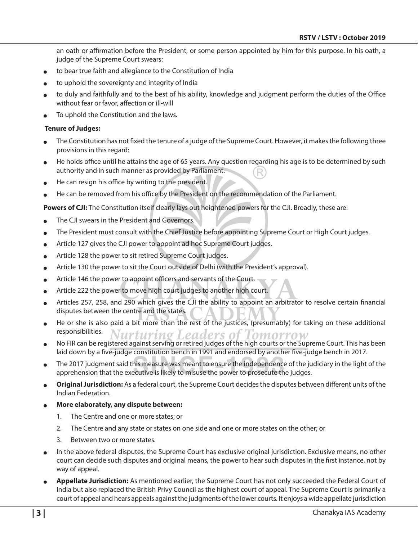an oath or affirmation before the President, or some person appointed by him for this purpose. In his oath, a judge of the Supreme Court swears:

- to bear true faith and allegiance to the Constitution of India
- to uphold the sovereignty and integrity of India
- to duly and faithfully and to the best of his ability, knowledge and judgment perform the duties of the Office without fear or favor, affection or ill-will
- To uphold the Constitution and the laws.

#### **Tenure of Judges:**

- The Constitution has not fixed the tenure of a judge of the Supreme Court. However, it makes the following three provisions in this regard:
- He holds office until he attains the age of 65 years. Any question regarding his age is to be determined by such authority and in such manner as provided by Parliament.
- He can resign his office by writing to the president.
- He can be removed from his office by the President on the recommendation of the Parliament.

**Powers of CJI:** The Constitution itself clearly lays out heightened powers for the CJI. Broadly, these are:

- The CJI swears in the President and Governors.
- The President must consult with the Chief Justice before appointing Supreme Court or High Court judges.
- Article 127 gives the CJI power to appoint ad hoc Supreme Court judges.
- **•** Article 128 the power to sit retired Supreme Court judges.
- Article 130 the power to sit the Court outside of Delhi (with the President's approval).
- $\bullet$  Article 146 the power to appoint officers and servants of the Court.
- Article 222 the power to move high court judges to another high court.
- Articles 257, 258, and 290 which gives the CJI the ability to appoint an arbitrator to resolve certain financial disputes between the centre and the states.
- He or she is also paid a bit more than the rest of the justices, (presumably) for taking on these additional responsibilities.
- responsibilities. Nurturing Leaders of Tomorrow<br>No FIR can be registered against serving or retired judges of the high courts or the Supreme Court. This has been laid down by a five-judge constitution bench in 1991 and endorsed by another five-judge bench in 2017.
- The 2017 judgment said this measure was meant to ensure the independence of the judiciary in the light of the apprehension that the executive is likely to misuse the power to prosecute the judges.
- Original Jurisdiction: As a federal court, the Supreme Court decides the disputes between different units of the Indian Federation.
- More elaborately, any dispute between:
	- 1. The Centre and one or more states; or
	- 2. The Centre and any state or states on one side and one or more states on the other; or
	- 3. Between two or more states.
- In the above federal disputes, the Supreme Court has exclusive original jurisdiction. Exclusive means, no other court can decide such disputes and original means, the power to hear such disputes in the first instance, not by way of appeal.
- Appellate Jurisdiction: As mentioned earlier, the Supreme Court has not only succeeded the Federal Court of India but also replaced the British Privy Council as the highest court of appeal. The Supreme Court is primarily a court of appeal and hears appeals against the judgments of the lower courts. It enjoys a wide appellate jurisdiction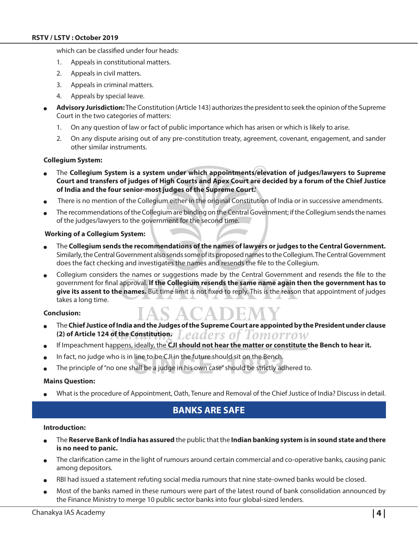which can be classified under four heads:

- 1. Appeals in constitutional matters.
- 2. Appeals in civil matters.
- 3. Appeals in criminal matters.
- 4. Appeals by special leave.
- <sup>O</sup> **Advisory Jurisdiction:** The Constitution (Article 143) authorizes the president to seek the opinion of the Supreme Court in the two categories of matters:
	- 1. On any question of law or fact of public importance which has arisen or which is likely to arise.
	- 2. On any dispute arising out of any pre-constitution treaty, agreement, covenant, engagement, and sander other similar instruments.

#### **Collegium System:**

- <sup>O</sup> The **Collegium System is a system under which appointments/elevation of judges/lawyers to Supreme Court and transfers of judges of High Courts and Apex Court are decided by a forum of the Chief Justice of India and the four senior-most judges of the Supreme Court.'**
- There is no mention of the Collegium either in the original Constitution of India or in successive amendments.
- The recommendations of the Collegium are binding on the Central Government; if the Collegium sends the names of the judges/lawyers to the government for the second time.

#### **Working of a Collegium System:**

- <sup>O</sup> The **Collegium sends the recommendations of the names of lawyers or judges to the Central Government.** Similarly, the Central Government also sends some of its proposed names to the Collegium. The Central Government does the fact checking and investigates the names and resends the file to the Collegium.
- Collegium considers the names or suggestions made by the Central Government and resends the file to the government for final approval. **If the Collegium resends the same name again then the government has to give its assent to the names.** But time limit is not fixed to reply. This is the reason that appointment of judges takes a long time.

#### **Conclusion:**

- <sup>O</sup> The **Chief Justice of India and the Judges of the Supreme Court are appointed by the President under clause (2) of Article 124 of the Constitution.** eaders of Tomorrow.
- If Impeachment happens, ideally, the CJI should not hear the matter or constitute the Bench to hear it.
- In fact, no judge who is in line to be CJI in the future should sit on the Bench.
- The principle of "no one shall be a judge in his own case" should be strictly adhered to.

#### **Mains Question:**

What is the procedure of Appointment, Oath, Tenure and Removal of the Chief Justice of India? Discuss in detail.

## **Banks are Safe**

#### **Introduction:**

- <sup>O</sup> The **Reserve Bank of India has assured** the public that the **Indian banking system is in sound state and there is no need to panic.**
- The clarification came in the light of rumours around certain commercial and co-operative banks, causing panic among depositors.
- RBI had issued a statement refuting social media rumours that nine state-owned banks would be closed.
- Most of the banks named in these rumours were part of the latest round of bank consolidation announced by the Finance Ministry to merge 10 public sector banks into four global-sized lenders.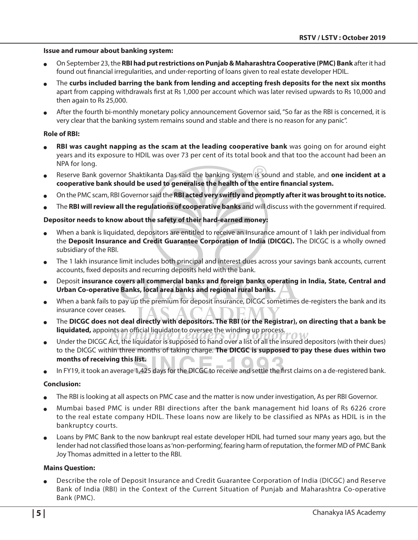#### **Issue and rumour about banking system:**

- <sup>O</sup> On September 23, the **RBI had put restrictions on Punjab & Maharashtra Cooperative (PMC) Bank** after it had found out financial irregularities, and under-reporting of loans given to real estate developer HDIL.
- <sup>O</sup> The **curbs included barring the bank from lending and accepting fresh deposits for the next six months** apart from capping withdrawals first at Rs 1,000 per account which was later revised upwards to Rs 10,000 and then again to Rs 25,000.
- After the fourth bi-monthly monetary policy announcement Governor said, "So far as the RBI is concerned, it is very clear that the banking system remains sound and stable and there is no reason for any panic".

#### **Role of RBI:**

- RBI was caught napping as the scam at the leading cooperative bank was going on for around eight years and its exposure to HDIL was over 73 per cent of its total book and that too the account had been an NPA for long.
- Reserve Bank governor Shaktikanta Das said the banking system is sound and stable, and one incident at a **cooperative bank should be used to generalise the health of the entire financial system.**
- On the PMC scam, RBI Governor said the RBI acted very swiftly and promptly after it was brought to its notice.
- <sup>O</sup> The **RBI will review all the regulations of cooperative banks** and will discuss with the government if required.

#### **Depositor needs to know about the safety of their hard-earned money:**

- When a bank is liquidated, depositors are entitled to receive an insurance amount of 1 lakh per individual from the **Deposit Insurance and Credit Guarantee Corporation of India (DICGC).** The DICGC is a wholly owned subsidiary of the RBI.
- The 1 lakh insurance limit includes both principal and interest dues across your savings bank accounts, current accounts, fixed deposits and recurring deposits held with the bank.
- <sup>O</sup> Deposit **insurance covers all commercial banks and foreign banks operating in India, State, Central and Urban Co-operative Banks, local area banks and regional rural banks.**
- When a bank fails to pay up the premium for deposit insurance, DICGC sometimes de-registers the bank and its insurance cover ceases.
- <sup>O</sup> The **DICGC does not deal directly with depositors. The RBI (or the Registrar), on directing that a bank be liquidated,** appoints an official liquidator to oversee the winding up process.
- $\bullet$  Under the DICGC Act, the liquidator is supposed to hand over a list of all the insured depositors (with their dues) to the DICGC within three months of taking charge. **The DICGC is supposed to pay these dues within two months of receiving this list.**
- In FY19, it took an average 1,425 days for the DICGC to receive and settle the first claims on a de-registered bank.

#### **Conclusion:**

- The RBI is looking at all aspects on PMC case and the matter is now under investigation, As per RBI Governor.
- <sup>O</sup> Mumbai based PMC is under RBI directions after the bank management hid loans of Rs 6226 crore to the real estate company HDIL. These loans now are likely to be classified as NPAs as HDIL is in the bankruptcy courts.
- Loans by PMC Bank to the now bankrupt real estate developer HDIL had turned sour many years ago, but the lender had not classified those loans as 'non-performing', fearing harm of reputation, the former MD of PMC Bank Joy Thomas admitted in a letter to the RBI.

#### **Mains Question:**

<sup>O</sup> Describe the role of Deposit Insurance and Credit Guarantee Corporation of India (DICGC) and Reserve Bank of India (RBI) in the Context of the Current Situation of Punjab and Maharashtra Co-operative Bank (PMC).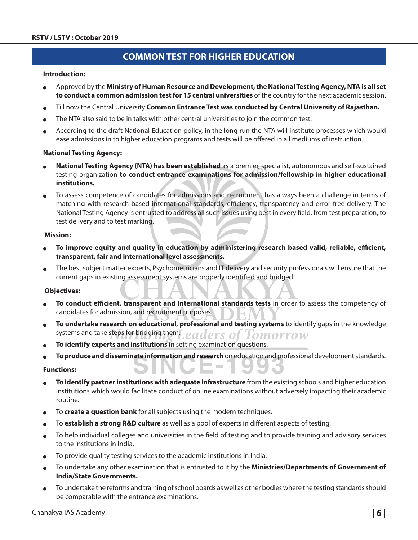# **COMMON TEST FOR HIGHER EDUCATION**

#### **Introduction:**

- <sup>O</sup> Approved by the **Ministry of Human Resource and Development, the National Testing Agency, NTA is all set to conduct a common admission test for 15 central universities** of the country for the next academic session.
- <sup>O</sup> Till now the Central University **Common Entrance Test was conducted by Central University of Rajasthan.**
- The NTA also said to be in talks with other central universities to join the common test.
- According to the draft National Education policy, in the long run the NTA will institute processes which would ease admissions in to higher education programs and tests will be offered in all mediums of instruction.

#### **National Testing Agency:**

- <sup>O</sup> **National Testing Agency (NTA) has been established** as a premier, specialist, autonomous and self-sustained testing organization **to conduct entrance examinations for admission/fellowship in higher educational institutions.**
- To assess competence of candidates for admissions and recruitment has always been a challenge in terms of matching with research based international standards, efficiency, transparency and error free delivery. The National Testing Agency is entrusted to address all such issues using best in every field, from test preparation, to test delivery and to test marking.

#### **Mission:**

- To improve equity and quality in education by administering research based valid, reliable, efficient, **transparent, fair and international level assessments.**
- The best subject matter experts, Psychometricians and IT delivery and security professionals will ensure that the current gaps in existing assessment systems are properly identified and bridged.

#### **Objectives:**

- To conduct efficient, transparent and international standards tests in order to assess the competency of candidates for admission, and recruitment purposes.
- To undertake research on educational, professional and testing systems to identify gaps in the knowledge systems and take steps for bridging them. ers of Tomorrow
- To *identify experts and institutions* in setting examination questions.
- <sup>O</sup> **To produce and disseminate information and research** on education and professional development standards.

#### **Functions:**

- To identify partner institutions with adequate infrastructure from the existing schools and higher education institutions which would facilitate conduct of online examinations without adversely impacting their academic routine.
- To **create a question bank** for all subjects using the modern techniques.
- <sup>O</sup> To **establish a strong R&D culture** as well as a pool of experts in different aspects of testing.
- <sup>O</sup> To help individual colleges and universities in the field of testing and to provide training and advisory services to the institutions in India.
- To provide quality testing services to the academic institutions in India.
- <sup>O</sup> To undertake any other examination that is entrusted to it by the **Ministries/Departments of Government of India/State Governments.**
- <sup>O</sup> To undertake the reforms and training of school boards as well as other bodies where the testing standards should be comparable with the entrance examinations.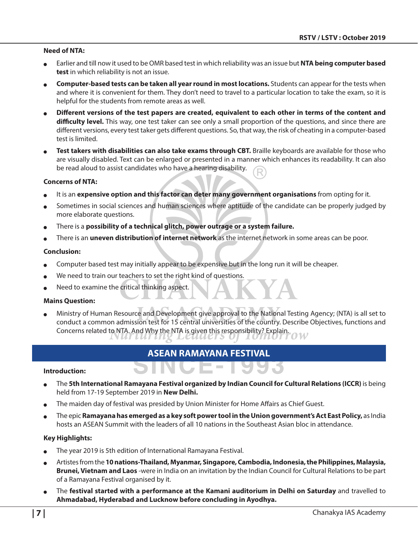#### **Need of NTA:**

- Earlier and till now it used to be OMR based test in which reliability was an issue but **NTA being computer based test** in which reliability is not an issue.
- **Computer-based tests can be taken all year round in most locations.** Students can appear for the tests when and where it is convenient for them. They don't need to travel to a particular location to take the exam, so it is helpful for the students from remote areas as well.
- <sup>O</sup> **Different versions of the test papers are created, equivalent to each other in terms of the content and difficulty level.** This way, one test taker can see only a small proportion of the questions, and since there are different versions, every test taker gets different questions. So, that way, the risk of cheating in a computer-based test is limited.
- Test takers with disabilities can also take exams through CBT. Braille keyboards are available for those who are visually disabled. Text can be enlarged or presented in a manner which enhances its readability. It can also be read aloud to assist candidates who have a hearing disability.

#### **Concerns of NTA:**

- It is an expensive option and this factor can deter many government organisations from opting for it.
- Sometimes in social sciences and human sciences where aptitude of the candidate can be properly judged by more elaborate questions.
- There is a **possibility of a technical glitch, power outrage or a system failure.**
- There is an **uneven distribution of internet network** as the internet network in some areas can be poor.

#### **Conclusion:**

- Computer based test may initially appear to be expensive but in the long run it will be cheaper.
- We need to train our teachers to set the right kind of questions.
- Need to examine the critical thinking aspect.

#### **Mains Question:**

Ministry of Human Resource and Development give approval to the National Testing Agency; (NTA) is all set to conduct a common admission test for 15 central universities of the country. Describe Objectives, functions and Concerns related to NTA. And Why the NTA is given this responsibility? Explain.

### **ASEAN Ramayana Festival**

VC E-T

#### **Introduction:**

- <sup>O</sup> The **5th International Ramayana Festival organized by Indian Council for Cultural Relations (ICCR)** is being held from 17-19 September 2019 in **New Delhi.**
- The maiden day of festival was presided by Union Minister for Home Affairs as Chief Guest.
- <sup>O</sup> The epic **Ramayana has emerged as a key soft power tool in the Union government's Act East Policy,** as India hosts an ASEAN Summit with the leaders of all 10 nations in the Southeast Asian bloc in attendance.

#### **Key Highlights:**

- The year 2019 is 5th edition of International Ramayana Festival.
- <sup>O</sup> Artistes from the **10 nations-Thailand, Myanmar, Singapore, Cambodia, Indonesia, the Philippines, Malaysia, Brunei, Vietnam and Laos** -were in India on an invitation by the Indian Council for Cultural Relations to be part of a Ramayana Festival organised by it.
- The **festival started with a performance at the Kamani auditorium in Delhi on Saturday** and travelled to **Ahmadabad, Hyderabad and Lucknow before concluding in Ayodhya.**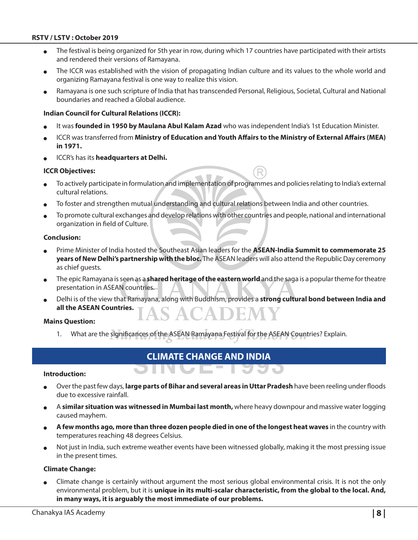- The festival is being organized for 5th year in row, during which 17 countries have participated with their artists and rendered their versions of Ramayana.
- The ICCR was established with the vision of propagating Indian culture and its values to the whole world and organizing Ramayana festival is one way to realize this vision.
- Ramayana is one such scripture of India that has transcended Personal, Religious, Societal, Cultural and National boundaries and reached a Global audience.

#### **Indian Council for Cultural Relations (ICCR):**

- It was **founded in 1950 by Maulana Abul Kalam Azad** who was independent India's 1st Education Minister.
- **ICCR was transferred from Ministry of Education and Youth Affairs to the Ministry of External Affairs (MEA) in 1971.**
- ICCR's has its **headquarters at Delhi.**

#### **ICCR Objectives:**

- <sup>O</sup> To actively participate in formulation and implementation of programmes and policies relating to India's external cultural relations.
- To foster and strengthen mutual understanding and cultural relations between India and other countries.
- To promote cultural exchanges and develop relations with other countries and people, national and international organization in field of Culture.

#### **Conclusion:**

- <sup>O</sup> Prime Minister of India hosted the Southeast Asian leaders for the **ASEAN-India Summit to commemorate 25 years of New Delhi's partnership with the bloc.** The ASEAN leaders will also attend the Republic Day ceremony as chief guests.
- <sup>O</sup> The epic Ramayana is seen as a **shared heritage of the eastern world** and the saga is a popular theme for theatre presentation in ASEAN countries.
- <sup>O</sup> Delhi is of the view that Ramayana, along with Buddhism, provides a **strong cultural bond between India and all the ASEAN Countries. SACADEM**

#### **Mains Question:**

1. What are the significances of the ASEAN Ramayana Festival for the ASEAN Countries? Explain.

# **Climate Change and India**

#### **Introduction:**

<sup>O</sup> Over the past few days, **large parts of Bihar and several areas in Uttar Pradesh** have been reeling under floods due to excessive rainfall.

WO)

- <sup>O</sup> A **similar situation was witnessed in Mumbai last month,** where heavy downpour and massive water logging caused mayhem.
- <sup>O</sup> **A few months ago, more than three dozen people died in one of the longest heat waves** in the country with temperatures reaching 48 degrees Celsius.
- Not just in India, such extreme weather events have been witnessed globally, making it the most pressing issue in the present times.

#### **Climate Change:**

Climate change is certainly without argument the most serious global environmental crisis. It is not the only environmental problem, but it is **unique in its multi-scalar characteristic, from the global to the local. And, in many ways, it is arguably the most immediate of our problems.**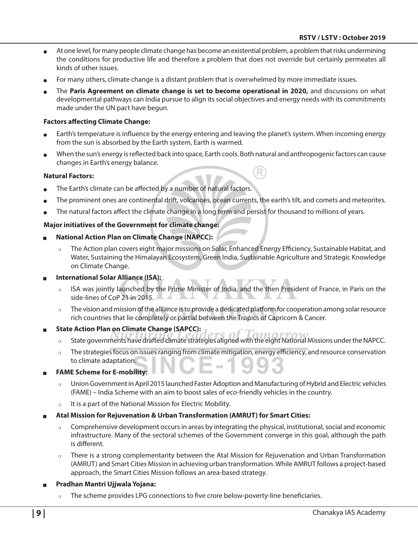- <sup>O</sup> At one level, for many people climate change has become an existential problem, a problem that risks undermining the conditions for productive life and therefore a problem that does not override but certainly permeates all kinds of other issues.
- For many others, climate change is a distant problem that is overwhelmed by more immediate issues.
- <sup>O</sup> The **Paris Agreement on climate change is set to become operational in 2020,** and discussions on what developmental pathways can India pursue to align its social objectives and energy needs with its commitments made under the UN pact have begun.

#### **Factors affecting Climate Change:**

- Earth's temperature is influence by the energy entering and leaving the planet's system. When incoming energy from the sun is absorbed by the Earth system, Earth is warmed.
- When the sun's energy is reflected back into space, Earth cools. Both natural and anthropogenic factors can cause changes in Earth's energy balance.

#### **Natural Factors:**

- The Earth's climate can be affected by a number of natural factors.
- The prominent ones are continental drift, volcanoes, ocean currents, the earth's tilt, and comets and meteorites.
- The natural factors affect the climate change in a long term and persist for thousand to millions of years.

#### **Major initiatives of the Government for climate change:**

- <sup>Q</sup> **National Action Plan on Climate Change (NAPCC):** 
	- $\circ$  The Action plan covers eight major missions on Solar, Enhanced Energy Efficiency, Sustainable Habitat, and Water, Sustaining the Himalayan Ecosystem, Green India, Sustainable Agriculture and Strategic Knowledge on Climate Change.

#### <sup>Q</sup> **International Solar Alliance (ISA):**

- ISA was jointly launched by the Prime Minister of India, and the then President of France, in Paris on the side-lines of CoP 21 in 2015.
- The vision and mission of the alliance is to provide a dedicated platform for cooperation among solar resource rich countries that lie completely or partial between the Tropics of Capricorn & Cancer.
- **State Action Plan on Climate Change (SAPCC):** 
	- o State governments have drafted climate strategies aligned with the eight National Missions under the NAPCC.
	- $\circ$  The strategies focus on issues ranging from climate mitigation, energy efficiency, and resource conservation to climate adaptation.
- <sup>Q</sup> **FAME Scheme for E-mobility:**
	- $\circ$  Union Government in April 2015 launched Faster Adoption and Manufacturing of Hybrid and Electric vehicles (FAME) – India Scheme with an aim to boost sales of eco-friendly vehicles in the country.
	- $\circ$  It is a part of the National Mission for Electric Mobility.
- <sup>Q</sup> **Atal Mission for Rejuvenation & Urban Transformation (AMRUT) for Smart Cities:**
	- $\circ$  Comprehensive development occurs in areas by integrating the physical, institutional, social and economic infrastructure. Many of the sectoral schemes of the Government converge in this goal, although the path is different.
	- $\circ$  There is a strong complementarity between the Atal Mission for Rejuvenation and Urban Transformation (AMRUT) and Smart Cities Mission in achieving urban transformation. While AMRUT follows a project-based approach, the Smart Cities Mission follows an area-based strategy.
- <sup>Q</sup> **Pradhan Mantri Ujjwala Yojana:** 
	- The scheme provides LPG connections to five crore below-poverty-line beneficiaries.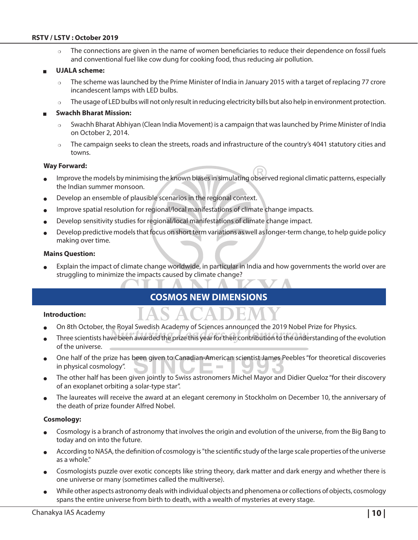The connections are given in the name of women beneficiaries to reduce their dependence on fossil fuels and conventional fuel like cow dung for cooking food, thus reducing air pollution.

#### <sup>Q</sup> **UJALA scheme:**

- $\circ$  The scheme was launched by the Prime Minister of India in January 2015 with a target of replacing 77 crore incandescent lamps with LED bulbs.
- The usage of LED bulbs will not only result in reducing electricity bills but also help in environment protection.

#### <sup>Q</sup> **Swachh Bharat Mission:**

- $\circ$  Swachh Bharat Abhiyan (Clean India Movement) is a campaign that was launched by Prime Minister of India on October 2, 2014.
- $\circ$  The campaign seeks to clean the streets, roads and infrastructure of the country's 4041 statutory cities and towns.

#### **Way Forward:**

- Improve the models by minimising the known biases in simulating observed regional climatic patterns, especially the Indian summer monsoon.
- Develop an ensemble of plausible scenarios in the regional context.
- Improve spatial resolution for regional/local manifestations of climate change impacts.
- <sup>O</sup> Develop sensitivity studies for regional/local manifestations of climate change impact.
- <sup>O</sup> Develop predictive models that focus on short term variations as well as longer-term change, to help guide policy making over time.

#### **Mains Question:**

Explain the impact of climate change worldwide, in particular in India and how governments the world over are struggling to minimize the impacts caused by climate change?

# **COSMOS New Dimensions**

#### **Introduction:**

- On 8th October, the Royal Swedish Academy of Sciences announced the 2019 Nobel Prize for Physics.
- Three scientists have been awarded the prize this year for their contribution to the understanding of the evolution of the universe.
- One half of the prize has been given to Canadian-American scientist James Peebles "for theoretical discoveries in physical cosmology".
- The other half has been given jointly to Swiss astronomers Michel Mayor and Didier Queloz "for their discovery of an exoplanet orbiting a solar-type star".
- The laureates will receive the award at an elegant ceremony in Stockholm on December 10, the anniversary of the death of prize founder Alfred Nobel.

#### **Cosmology:**

- Cosmology is a branch of astronomy that involves the origin and evolution of the universe, from the Big Bang to today and on into the future.
- According to NASA, the definition of cosmology is "the scientific study of the large scale properties of the universe as a whole."
- Cosmologists puzzle over exotic concepts like string theory, dark matter and dark energy and whether there is one universe or many (sometimes called the multiverse).
- While other aspects astronomy deals with individual objects and phenomena or collections of objects, cosmology spans the entire universe from birth to death, with a wealth of mysteries at every stage.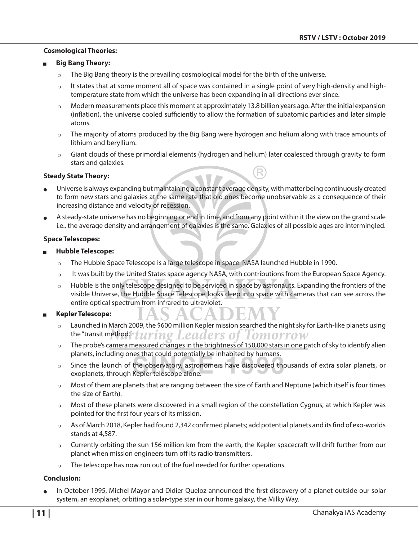#### **Cosmological Theories:**

#### <sup>Q</sup> **Big Bang Theory:**

- $\circ$  The Big Bang theory is the prevailing cosmological model for the birth of the universe.
- $\circ$  It states that at some moment all of space was contained in a single point of very high-density and hightemperature state from which the universe has been expanding in all directions ever since.
- $\circ$  Modern measurements place this moment at approximately 13.8 billion years ago. After the initial expansion (inflation), the universe cooled sufficiently to allow the formation of subatomic particles and later simple atoms.
- $\circ$  The majority of atoms produced by the Big Bang were hydrogen and helium along with trace amounts of lithium and beryllium.
- $\circ$  Giant clouds of these primordial elements (hydrogen and helium) later coalesced through gravity to form stars and galaxies.

#### **Steady State Theory:**

- <sup>O</sup> Universe is always expanding but maintaining a constant average density, with matter being continuously created to form new stars and galaxies at the same rate that old ones become unobservable as a consequence of their increasing distance and velocity of recession.
- A steady-state universe has no beginning or end in time, and from any point within it the view on the grand scale i.e., the average density and arrangement of galaxies is the same. Galaxies of all possible ages are intermingled.

#### **Space Telescopes:**

- <sup>Q</sup> **Hubble Telescope:** 
	- o The Hubble Space Telescope is a large telescope in space. NASA launched Hubble in 1990.
	- $\circ$  It was built by the United States space agency NASA, with contributions from the European Space Agency.
	- Hubble is the only telescope designed to be serviced in space by astronauts. Expanding the frontiers of the visible Universe, the Hubble Space Telescope looks deep into space with cameras that can see across the entire optical spectrum from infrared to ultraviolet.

#### <sup>Q</sup> **Kepler Telescope:**

- $\circ$  Launched in March 2009, the \$600 million Kepler mission searched the night sky for Earth-like planets using the "transit method" turing Leaders of Tomorrow
- $\circ$  The probe's camera measured changes in the brightness of 150,000 stars in one patch of sky to identify alien planets, including ones that could potentially be inhabited by humans.
- $\circ$  Since the launch of the observatory, astronomers have discovered thousands of extra solar planets, or exoplanets, through Kepler telescope alone.
- $\circ$  Most of them are planets that are ranging between the size of Earth and Neptune (which itself is four times the size of Earth).
- $\circ$  Most of these planets were discovered in a small region of the constellation Cygnus, at which Kepler was pointed for the first four years of its mission.
- $\circ$  As of March 2018, Kepler had found 2,342 confirmed planets; add potential planets and its find of exo-worlds stands at 4,587.
- $\circ$  Currently orbiting the sun 156 million km from the earth, the Kepler spacecraft will drift further from our planet when mission engineers turn off its radio transmitters.
- $\circ$  The telescope has now run out of the fuel needed for further operations.

#### **Conclusion:**

In October 1995, Michel Mayor and Didier Queloz announced the first discovery of a planet outside our solar system, an exoplanet, orbiting a solar-type star in our home galaxy, the Milky Way.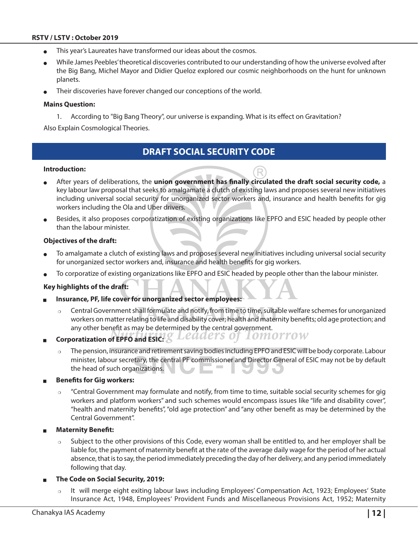- This year's Laureates have transformed our ideas about the cosmos.
- While James Peebles' theoretical discoveries contributed to our understanding of how the universe evolved after the Big Bang, Michel Mayor and Didier Queloz explored our cosmic neighborhoods on the hunt for unknown planets.
- Their discoveries have forever changed our conceptions of the world.

#### **Mains Question:**

1. According to "Big Bang Theory", our universe is expanding. What is its effect on Gravitation?

Also Explain Cosmological Theories.

# **Draft Social Security Code**

#### **Introduction:**

- <sup>O</sup> After years of deliberations, the **union government has finally circulated the draft social security code,** a key labour law proposal that seeks to amalgamate a clutch of existing laws and proposes several new initiatives including universal social security for unorganized sector workers and, insurance and health benefits for gig workers including the Ola and Uber drivers.
- Besides, it also proposes corporatization of existing organizations like EPFO and ESIC headed by people other than the labour minister.

#### **Objectives of the draft:**

- To amalgamate a clutch of existing laws and proposes several new initiatives including universal social security for unorganized sector workers and, insurance and health benefits for gig workers.
- To corporatize of existing organizations like EPFO and ESIC headed by people other than the labour minister.

#### **Key highlights of the draft:**

- <sup>Q</sup> **Insurance, PF, life cover for unorganized sector employees:** 
	- Central Government shall formulate and notify, from time to time, suitable welfare schemes for unorganized workers on matter relating to life and disability cover; health and maternity benefits; old age protection; and any other benefit as may be determined by the central government.
- Corporatization of EPFO and ESIC:  $Q$  Leaaers of **LOMOTTOW** 
	- $\circ$  The pension, insurance and retirement saving bodies including EPFO and ESIC will be body corporate. Labour minister, labour secretary, the central PF commissioner and Director General of ESIC may not be by default the head of such organizations.
- **Benefits for Gig workers:** 
	- $\circ$  "Central Government may formulate and notify, from time to time, suitable social security schemes for gig workers and platform workers" and such schemes would encompass issues like "life and disability cover", "health and maternity benefits", "old age protection" and "any other benefit as may be determined by the Central Government".
- **Maternity Benefit:** 
	- $\circ$  Subject to the other provisions of this Code, every woman shall be entitled to, and her employer shall be liable for, the payment of maternity benefit at the rate of the average daily wage for the period of her actual absence, that is to say, the period immediately preceding the day of her delivery, and any period immediately following that day.
- <sup>Q</sup> **The Code on Social Security, 2019:**
	- $\circ$  It will merge eight exiting labour laws including Employees' Compensation Act, 1923; Employees' State Insurance Act, 1948, Employees' Provident Funds and Miscellaneous Provisions Act, 1952; Maternity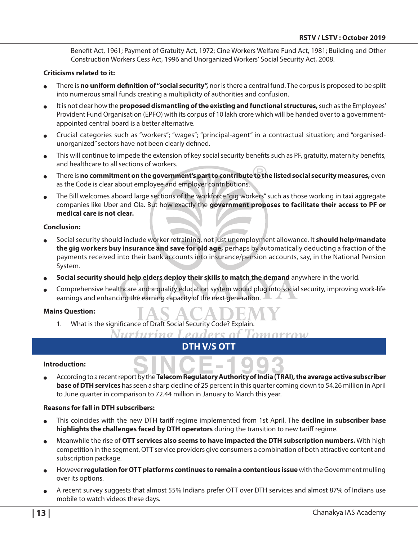Benefit Act, 1961; Payment of Gratuity Act, 1972; Cine Workers Welfare Fund Act, 1981; Building and Other Construction Workers Cess Act, 1996 and Unorganized Workers' Social Security Act, 2008.

#### **Criticisms related to it:**

- There is **no uniform definition of "social security",** nor is there a central fund. The corpus is proposed to be split into numerous small funds creating a multiplicity of authorities and confusion.
- It is not clear how the **proposed dismantling of the existing and functional structures,** such as the Employees' Provident Fund Organisation (EPFO) with its corpus of 10 lakh crore which will be handed over to a governmentappointed central board is a better alternative.
- Crucial categories such as "workers"; "wages"; "principal-agent" in a contractual situation; and "organisedunorganized" sectors have not been clearly defined.
- $\bullet$  This will continue to impede the extension of key social security benefits such as PF, gratuity, maternity benefits, and healthcare to all sections of workers.
- There is **no commitment on the government's part to contribute to the listed social security measures,** even as the Code is clear about employee and employer contributions.
- $\bullet$  The Bill welcomes aboard large sections of the workforce "gig workers" such as those working in taxi aggregate companies like Uber and Ola. But how exactly the **government proposes to facilitate their access to PF or medical care is not clear.**

#### **Conclusion:**

- <sup>O</sup> Social security should include worker retraining, not just unemployment allowance. It **should help/mandate the gig workers buy insurance and save for old age,** perhaps by automatically deducting a fraction of the payments received into their bank accounts into insurance/pension accounts, say, in the National Pension System.
- Social security should help elders deploy their skills to match the demand anywhere in the world.
- Comprehensive healthcare and a quality education system would plug into social security, improving work-life earnings and enhancing the earning capacity of the next generation.

#### **Mains Question:**

1. What is the significance of Draft Social Security Code? Explain.

```
Nurturino I
eaders of Tomorroy
```
# **DTH v/s OTT**

#### **Introduction:**

According to a recent report by the **Telecom Regulatory Authority of India (TRAI), the average active subscriber base of DTH services** has seen a sharp decline of 25 percent in this quarter coming down to 54.26 million in April to June quarter in comparison to 72.44 million in January to March this year.

#### **Reasons for fall in DTH subscribers:**

- This coincides with the new DTH tariff regime implemented from 1st April. The **decline in subscriber base highlights the challenges faced by DTH operators** during the transition to new tariff regime.
- <sup>O</sup> Meanwhile the rise of **OTT services also seems to have impacted the DTH subscription numbers.** With high competition in the segment, OTT service providers give consumers a combination of both attractive content and subscription package.
- However **regulation for OTT platforms continues to remain a contentious issue** with the Government mulling over its options.
- A recent survey suggests that almost 55% Indians prefer OTT over DTH services and almost 87% of Indians use mobile to watch videos these days.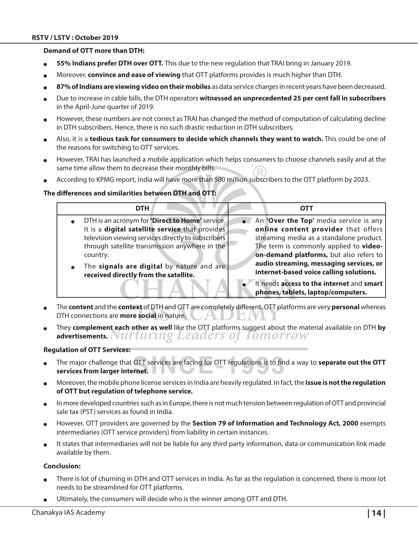#### **Demand of OTT more than DTH:**

- **55% Indians prefer DTH over OTT.** This due to the new regulation that TRAI bring in January 2019.
- Moreover, **convince and ease of viewing** that OTT platforms provides is much higher than DTH.
- 87% of Indians are viewing video on their mobiles as data service charges in recent years have been decreased.
- <sup>O</sup> Due to increase in cable bills, the DTH operators **witnessed an unprecedented 25 per cent fall in subscribers** in the April-June quarter of 2019.
- However, these numbers are not correct as TRAI has changed the method of computation of calculating decline in DTH subscribers. Hence, there is no such drastic reduction in DTH subscribers.
- <sup>O</sup> Also, it is a **tedious task for consumers to decide which channels they want to watch.** This could be one of the reasons for switching to OTT services.
- However, TRAI has launched a mobile application which helps consumers to choose channels easily and at the same time allow them to decrease their monthly bills.
- According to KPMG report, India will have more than 500 million subscribers to the OTT platform by 2023.

#### **The differences and similarities between DTH and OTT:**

| <b>DTH</b>                                          | ОТТ                                                                             |
|-----------------------------------------------------|---------------------------------------------------------------------------------|
| DTH is an acronym for 'Direct to Home' service.     | An 'Over the Top' media service is any                                          |
| It is a digital satellite service that provides     | online content provider that offers                                             |
| television viewing services directly to subscribers | streaming media as a standalone product.                                        |
| through satellite transmission anywhere in the      | The term is commonly applied to video-                                          |
| country.                                            | on-demand platforms, but also refers to                                         |
| The signals are digital by nature and are           | audio streaming, messaging services, or                                         |
| received directly from the satellite.               | internet-based voice calling solutions.                                         |
|                                                     | It needs access to the internet and smart<br>phones, tablets, laptop/computers. |

- <sup>O</sup> The **content** and the **context** of DTH and OTT are completely different. OTT platforms are very **personal** whereas DTH connections are **more social** in nature.
- <sup>O</sup> They **complement each other as well** like the OTT platforms suggest about the material available on DTH **by advertisements.**

#### **Regulation of OTT Services:**

- The major challenge that OTT services are facing for OTT regulations is to find a way to **separate out the OTT services from larger internet.**
- <sup>O</sup> Moreover, the mobile phone license services in India are heavily regulated. In fact, the **issue is not the regulation of OTT but regulation of telephone service.**
- In more developed countries such as in Europe, there is not much tension between regulation of OTT and provincial sale tax (PST) services as found in India.
- However, OTT providers are governed by the **Section 79 of Information and Technology Act, 2000** exempts intermediaries (OTT service providers) from liability in certain instances.
- It states that intermediaries will not be liable for any third party information, data or communication link made available by them.

#### **Conclusion:**

- There is lot of churning in DTH and OTT services in India. As far as the regulation is concerned, there is more lot needs to be streamlined for OTT platforms.
- Ultimately, the consumers will decide who is the winner among OTT and DTH.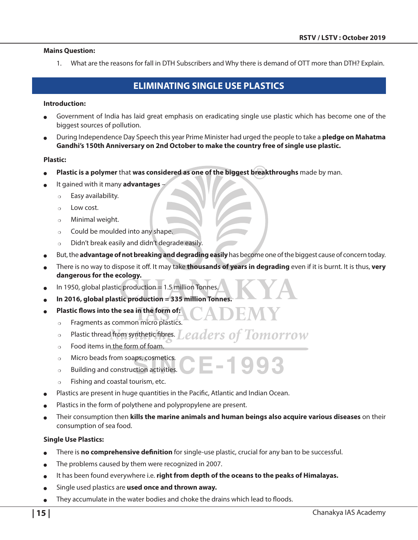#### **Mains Question:**

1. What are the reasons for fall in DTH Subscribers and Why there is demand of OTT more than DTH? Explain.

# **ELIMINATING SINGLE USE PLASTICS**

#### **Introduction:**

- Government of India has laid great emphasis on eradicating single use plastic which has become one of the biggest sources of pollution.
- <sup>O</sup> During Independence Day Speech this year Prime Minister had urged the people to take a **pledge on Mahatma Gandhi's 150th Anniversary on 2nd October to make the country free of single use plastic.**

#### **Plastic:**

- Plastic is a polymer that was considered as one of the biggest breakthroughs made by man.
- <sup>O</sup> It gained with it many **advantages**
	- $\circ$  Easy availability.
	- $\circ$  Low cost.
	- $\circ$  Minimal weight.
	- $\circ$  Could be moulded into any shape.
	- $\circ$  Didn't break easily and didn't degrade easily.
- But, the **advantage of not breaking and degrading easily** has become one of the biggest cause of concern today.
- <sup>O</sup> There is no way to dispose it off. It may take **thousands of years in degrading** even if it is burnt. It is thus, **very dangerous for the ecology.**

In 1950, global plastic production  $= 1.5$  million Tonnes.

- <sup>O</sup> **In 2016, global plastic production = 335 million Tonnes.**
- Plastic flows into the sea in the form of:
	- $\circ$  Fragments as common micro plastics.
	- $\circ$  Plastic thread from synthetic fibres. Leaders of Tomorrow
	- $\circ$  Food items in the form of foam.
	- $\circ$  Micro beads from soaps, cosmetics. E-1993
	- $\circ$  Building and construction activities.
	- $\circ$  Fishing and coastal tourism, etc.
- Plastics are present in huge quantities in the Pacific, Atlantic and Indian Ocean.
- Plastics in the form of polythene and polypropylene are present.
- <sup>O</sup> Their consumption then **kills the marine animals and human beings also acquire various diseases** on their consumption of sea food.

#### **Single Use Plastics:**

- There is **no comprehensive definition** for single-use plastic, crucial for any ban to be successful.
- The problems caused by them were recognized in 2007.
- It has been found everywhere i.e. right from depth of the oceans to the peaks of Himalayas.
- Single used plastics are used once and thrown away.
- They accumulate in the water bodies and choke the drains which lead to floods.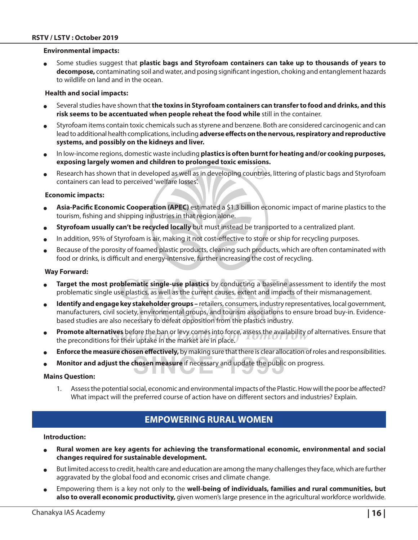#### **Environmental impacts:**

<sup>O</sup> Some studies suggest that **plastic bags and Styrofoam containers can take up to thousands of years to decompose,** contaminating soil and water, and posing significant ingestion, choking and entanglement hazards to wildlife on land and in the ocean.

#### **Health and social impacts:**

- <sup>O</sup> Several studies have shown that **the toxins in Styrofoam containers can transfer to food and drinks, and this risk seems to be accentuated when people reheat the food while** still in the container.
- <sup>O</sup> Styrofoam items contain toxic chemicals such as styrene and benzene. Both are considered carcinogenic and can lead to additional health complications, including **adverse effects on the nervous, respiratory and reproductive systems, and possibly on the kidneys and liver.**
- In low-income regions, domestic waste including **plastics is often burnt for heating and/or cooking purposes, exposing largely women and children to prolonged toxic emissions.**
- Research has shown that in developed as well as in developing countries, littering of plastic bags and Styrofoam containers can lead to perceived 'welfare losses'.

#### **Economic impacts:**

- Asia-Pacific Economic Cooperation (APEC) estimated a \$1.3 billion economic impact of marine plastics to the tourism, fishing and shipping industries in that region alone.
- <sup>O</sup> **Styrofoam usually can't be recycled locally** but must instead be transported to a centralized plant.
- In addition, 95% of Styrofoam is air, making it not cost-effective to store or ship for recycling purposes.
- Because of the porosity of foamed plastic products, cleaning such products, which are often contaminated with food or drinks, is difficult and energy-intensive, further increasing the cost of recycling.

#### **Way Forward:**

- **Target the most problematic single-use plastics** by conducting a baseline assessment to identify the most problematic single use plastics, as well as the current causes, extent and impacts of their mismanagement.
- **Identify and engage key stakeholder groups** retailers, consumers, industry representatives, local government, manufacturers, civil society, environmental groups, and tourism associations to ensure broad buy-in. Evidencebased studies are also necessary to defeat opposition from the plastics industry.
- Promote alternatives before the ban or levy comes into force, assess the availability of alternatives. Ensure that the preconditions for their uptake in the market are in place.
- **Enforce the measure chosen effectively,** by making sure that there is clear allocation of roles and responsibilities.
- **Monitor and adjust the chosen measure** if necessary and update the public on progress.

#### **Mains Question:**

1. Assess the potential social, economic and environmental impacts of the Plastic. How will the poor be affected? What impact will the preferred course of action have on different sectors and industries? Explain.

# **Empowering Rural Women**

#### **Introduction:**

- Rural women are key agents for achieving the transformational economic, environmental and social **changes required for sustainable development.**
- But limited access to credit, health care and education are among the many challenges they face, which are further aggravated by the global food and economic crises and climate change.
- Empowering them is a key not only to the **well-being of individuals, families and rural communities, but also to overall economic productivity,** given women's large presence in the agricultural workforce worldwide.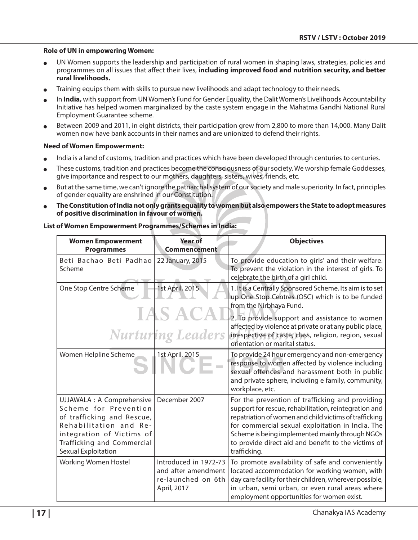#### **Role of UN in empowering Women:**

- <sup>O</sup> UN Women supports the leadership and participation of rural women in shaping laws, strategies, policies and programmes on all issues that affect their lives, **including improved food and nutrition security, and better rural livelihoods.**
- Training equips them with skills to pursue new livelihoods and adapt technology to their needs.
- In **India,** with support from UN Women's Fund for Gender Equality, the Dalit Women's Livelihoods Accountability Initiative has helped women marginalized by the caste system engage in the Mahatma Gandhi National Rural Employment Guarantee scheme.
- Between 2009 and 2011, in eight districts, their participation grew from 2,800 to more than 14,000. Many Dalit women now have bank accounts in their names and are unionized to defend their rights.

#### **Need of Women Empowerment:**

- India is a land of customs, tradition and practices which have been developed through centuries to centuries.
- These customs, tradition and practices become the consciousness of our society. We worship female Goddesses, give importance and respect to our mothers, daughters, sisters, wives, friends, etc.
- But at the same time, we can't ignore the patriarchal system of our society and male superiority. In fact, principles of gender equality are enshrined in our Constitution.
- <sup>O</sup> **The Constitution of India not only grants equality to women but also empowers the State to adopt measures of positive discrimination in favour of women.**

| <b>Women Empowerment</b><br><b>Programmes</b>                                                                                                                                                 | <b>Year of</b><br>Commencement                                                    | <b>Objectives</b>                                                                                                                                                                                                                                                                                                                                |
|-----------------------------------------------------------------------------------------------------------------------------------------------------------------------------------------------|-----------------------------------------------------------------------------------|--------------------------------------------------------------------------------------------------------------------------------------------------------------------------------------------------------------------------------------------------------------------------------------------------------------------------------------------------|
| Beti Bachao Beti Padhao<br>Scheme                                                                                                                                                             | 22 January, 2015                                                                  | To provide education to girls' and their welfare.<br>To prevent the violation in the interest of girls. To<br>celebrate the birth of a girl child.                                                                                                                                                                                               |
| One Stop Centre Scheme                                                                                                                                                                        | 1st April, 2015<br>IAS ACA<br><b>Nurturing Leaders</b>                            | 1. It is a Centrally Sponsored Scheme. Its aim is to set<br>up One Stop Centres (OSC) which is to be funded<br>from the Nirbhaya Fund.<br>2. To provide support and assistance to women<br>affected by violence at private or at any public place,<br>irrespective of caste, class, religion, region, sexual<br>orientation or marital status.   |
| Women Helpline Scheme                                                                                                                                                                         | 1st April, 2015                                                                   | To provide 24 hour emergency and non-emergency<br>response to women affected by violence including<br>sexual offences and harassment both in public<br>and private sphere, including e family, community,<br>workplace, etc.                                                                                                                     |
| UJJAWALA : A Comprehensive<br>Scheme for Prevention<br>of trafficking and Rescue,<br>Rehabilitation and Re-<br>integration of Victims of<br>Trafficking and Commercial<br>Sexual Exploitation | December 2007                                                                     | For the prevention of trafficking and providing<br>support for rescue, rehabilitation, reintegration and<br>repatriation of women and child victims of trafficking<br>for commercial sexual exploitation in India. The<br>Scheme is being implemented mainly through NGOs<br>to provide direct aid and benefit to the victims of<br>trafficking. |
| Working Women Hostel                                                                                                                                                                          | Introduced in 1972-73<br>and after amendment<br>re-launched on 6th<br>April, 2017 | To promote availability of safe and conveniently<br>located accommodation for working women, with<br>day care facility for their children, wherever possible,<br>in urban, semi urban, or even rural areas where<br>employment opportunities for women exist.                                                                                    |

#### **List of Women Empowerment Programmes/Schemes in India:**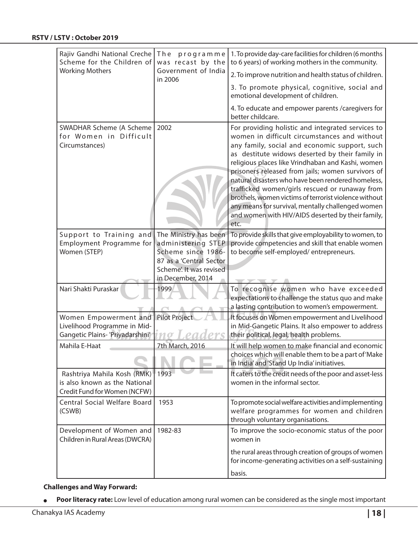| Rajiv Gandhi National Creche<br>Scheme for the Children of<br><b>Working Mothers</b>         | The programme<br>was recast by the<br>Government of India                                                                                    | 1. To provide day-care facilities for children (6 months<br>to 6 years) of working mothers in the community.                                                                                                                                                                                                                                                                                                                                                                                                                                                                                       |
|----------------------------------------------------------------------------------------------|----------------------------------------------------------------------------------------------------------------------------------------------|----------------------------------------------------------------------------------------------------------------------------------------------------------------------------------------------------------------------------------------------------------------------------------------------------------------------------------------------------------------------------------------------------------------------------------------------------------------------------------------------------------------------------------------------------------------------------------------------------|
|                                                                                              | in 2006                                                                                                                                      | 2. To improve nutrition and health status of children.                                                                                                                                                                                                                                                                                                                                                                                                                                                                                                                                             |
|                                                                                              |                                                                                                                                              | 3. To promote physical, cognitive, social and<br>emotional development of children.                                                                                                                                                                                                                                                                                                                                                                                                                                                                                                                |
|                                                                                              |                                                                                                                                              | 4. To educate and empower parents / caregivers for<br>better childcare.                                                                                                                                                                                                                                                                                                                                                                                                                                                                                                                            |
| SWADHAR Scheme (A Scheme<br>for Women in Difficult<br>Circumstances)                         | 2002                                                                                                                                         | For providing holistic and integrated services to<br>women in difficult circumstances and without<br>any family, social and economic support, such<br>as destitute widows deserted by their family in<br>religious places like Vrindhaban and Kashi, women<br>prisoners released from jails; women survivors of<br>natural disasters who have been rendered homeless,<br>trafficked women/girls rescued or runaway from<br>brothels, women victims of terrorist violence without<br>any means for survival, mentally challenged women<br>and women with HIV/AIDS deserted by their family,<br>etc. |
| Support to Training and<br>Employment Programme for<br>Women (STEP)                          | The Ministry has been<br>administering STEP<br>Scheme since 1986-<br>87 as a 'Central Sector<br>Scheme'. It was revised<br>in December, 2014 | To provide skills that give employability to women, to<br>provide competencies and skill that enable women<br>to become self-employed/entrepreneurs.                                                                                                                                                                                                                                                                                                                                                                                                                                               |
| Nari Shakti Puraskar                                                                         | 1999                                                                                                                                         | To recognise women who have exceeded<br>expectations to challenge the status quo and make<br>a lasting contribution to women's empowerment.                                                                                                                                                                                                                                                                                                                                                                                                                                                        |
| Women Empowerment and<br>Livelihood Programme in Mid-<br>Gangetic Plains- 'Priyadarshini'    | <b>Pilot Project</b>                                                                                                                         | It focuses on Women empowerment and Livelihood<br>in Mid-Gangetic Plains. It also empower to address<br>their political, legal, health problems.                                                                                                                                                                                                                                                                                                                                                                                                                                                   |
| Mahila E-Haat                                                                                | 7th March, 2016                                                                                                                              | It will help women to make financial and economic<br>choices which will enable them to be a part of 'Make<br>in India' and 'Stand Up India' initiatives.                                                                                                                                                                                                                                                                                                                                                                                                                                           |
| Rashtriya Mahila Kosh (RMK)<br>is also known as the National<br>Credit Fund for Women (NCFW) | 1993                                                                                                                                         | It caters to the credit needs of the poor and asset-less<br>women in the informal sector.                                                                                                                                                                                                                                                                                                                                                                                                                                                                                                          |
| Central Social Welfare Board<br>(CSWB)                                                       | 1953                                                                                                                                         | To promote social welfare activities and implementing<br>welfare programmes for women and children<br>through voluntary organisations.                                                                                                                                                                                                                                                                                                                                                                                                                                                             |
| Development of Women and<br>Children in Rural Areas (DWCRA)                                  | 1982-83                                                                                                                                      | To improve the socio-economic status of the poor<br>women in                                                                                                                                                                                                                                                                                                                                                                                                                                                                                                                                       |
|                                                                                              |                                                                                                                                              | the rural areas through creation of groups of women<br>for income-generating activities on a self-sustaining<br>basis.                                                                                                                                                                                                                                                                                                                                                                                                                                                                             |

#### **Challenges and Way Forward:**

**Poor literacy rate:** Low level of education among rural women can be considered as the single most important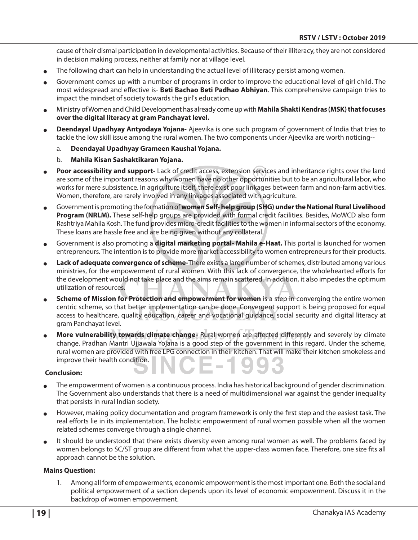cause of their dismal participation in developmental activities. Because of their illiteracy, they are not considered in decision making process, neither at family nor at village level.

- The following chart can help in understanding the actual level of illiteracy persist among women.
- Government comes up with a number of programs in order to improve the educational level of girl child. The most widespread and effective is- **Beti Bachao Beti Padhao Abhiyan**. This comprehensive campaign tries to impact the mindset of society towards the girl's education.
- <sup>O</sup> Ministry of Women and Child Development has already come up with **Mahila Shakti Kendras (MSK) that focuses over the digital literacy at gram Panchayat level.**
- <sup>O</sup> **Deendayal Upadhyay Antyodaya Yojana-** Ajeevika is one such program of government of India that tries to tackle the low skill issue among the rural women. The two components under Ajeevika are worth noticing-
	- a. **Deendayal Upadhyay Grameen Kaushal Yojana.**
	- b. **Mahila Kisan Sashaktikaran Yojana.**
- Poor accessibility and support- Lack of credit access, extension services and inheritance rights over the land are some of the important reasons why women have no other opportunities but to be an agricultural labor, who works for mere subsistence. In agriculture itself, there exist poor linkages between farm and non-farm activities. Women, therefore, are rarely involved in any linkages associated with agriculture.
- <sup>O</sup> Government is promoting the formation of **women Self- help group (SHG) under the National Rural Livelihood Program (NRLM).** These self-help groups are provided with formal credit facilities. Besides, MoWCD also form Rashtriya Mahila Kosh. The fund provides micro-credit facilities to the women in informal sectors of the economy. These loans are hassle free and are being given without any collateral.
- Government is also promoting a **digital marketing portal-Mahila e-Haat.** This portal is launched for women entrepreneurs. The intention is to provide more market accessibility to women entrepreneurs for their products.
- Lack of adequate convergence of scheme-There exists a large number of schemes, distributed among various ministries, for the empowerment of rural women. With this lack of convergence, the wholehearted efforts for the development would not take place and the aims remain scattered. In addition, it also impedes the optimum utilization of resources.
- **Scheme of Mission for Protection and empowerment for women** is a step in converging the entire women centric scheme, so that better implementation can be done. Convergent support is being proposed for equal access to healthcare, quality education, career and vocational guidance, social security and digital literacy at gram Panchayat level.
- More vulnerability towards climate change- Rural women are affected differently and severely by climate change. Pradhan Mantri Ujjawala Yojana is a good step of the government in this regard. Under the scheme, rural women are provided with free LPG connection in their kitchen. That will make their kitchen smokeless and improve their health condition.  $\sim$

#### **Conclusion:**

- The empowerment of women is a continuous process. India has historical background of gender discrimination. The Government also understands that there is a need of multidimensional war against the gender inequality that persists in rural Indian society.
- However, making policy documentation and program framework is only the first step and the easiest task. The real efforts lie in its implementation. The holistic empowerment of rural women possible when all the women related schemes converge through a single channel.
- It should be understood that there exists diversity even among rural women as well. The problems faced by women belongs to SC/ST group are different from what the upper-class women face. Therefore, one size fits all approach cannot be the solution.

#### **Mains Question:**

1. Among all form of empowerments, economic empowerment is the most important one. Both the social and political empowerment of a section depends upon its level of economic empowerment. Discuss it in the backdrop of women empowerment.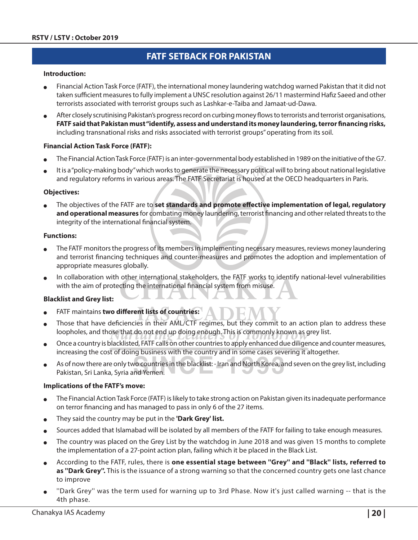# **FATF Setback for Pakistan**

#### **Introduction:**

- Financial Action Task Force (FATF), the international money laundering watchdog warned Pakistan that it did not taken sufficient measures to fully implement a UNSC resolution against 26/11 mastermind Hafiz Saeed and other terrorists associated with terrorist groups such as Lashkar-e-Taiba and Jamaat-ud-Dawa.
- After closely scrutinising Pakistan's progress record on curbing money flows to terrorists and terrorist organisations, **FATF said that Pakistan must "identify, assess and understand its money laundering, terror financing risks,**  including transnational risks and risks associated with terrorist groups" operating from its soil.

#### **Financial Action Task Force (FATF):**

- The Financial Action Task Force (FATF) is an inter-governmental body established in 1989 on the initiative of the G7.
- It is a "policy-making body" which works to generate the necessary political will to bring about national legislative and regulatory reforms in various areas. The FATF Secretariat is housed at the OECD headquarters in Paris.

#### **Objectives:**

The objectives of the FATF are to **set standards and promote effective implementation of legal, regulatory and operational measures** for combating money laundering, terrorist financing and other related threats to the integrity of the international financial system.

#### **Functions:**

- The FATF monitors the progress of its members in implementing necessary measures, reviews money laundering and terrorist financing techniques and counter-measures and promotes the adoption and implementation of appropriate measures globally.
- In collaboration with other international stakeholders, the FATF works to identify national-level vulnerabilities with the aim of protecting the international financial system from misuse.

#### **Blacklist and Grey list:**

- FATF maintains **two different lists of countries:**
- Those that have deficiencies in their AML/CTF regimes, but they commit to an action plan to address these loopholes, and those that do not end up doing enough. This is commonly known as grey list.
- <sup>O</sup> Once a country is blacklisted, FATF calls on other countries to apply enhanced due diligence and counter measures, increasing the cost of doing business with the country and in some cases severing it altogether.
- As of now there are only two countries in the blacklist: Iran and North Korea, and seven on the grey list, including Pakistan, Sri Lanka, Syria and Yemen.

#### **Implications of the FATF's move:**

- $\bullet$  The Financial Action Task Force (FATF) is likely to take strong action on Pakistan given its inadequate performance on terror financing and has managed to pass in only 6 of the 27 items.
- They said the country may be put in the **'Dark Grey' list.**
- Sources added that Islamabad will be isolated by all members of the FATF for failing to take enough measures.
- The country was placed on the Grey List by the watchdog in June 2018 and was given 15 months to complete the implementation of a 27-point action plan, failing which it be placed in the Black List.
- <sup>O</sup> According to the FATF, rules, there is **one essential stage between ''Grey'' and ''Black'' lists, referred to as ''Dark Grey''.** This is the issuance of a strong warning so that the concerned country gets one last chance to improve
- "Dark Grey" was the term used for warning up to 3rd Phase. Now it's just called warning -- that is the 4th phase.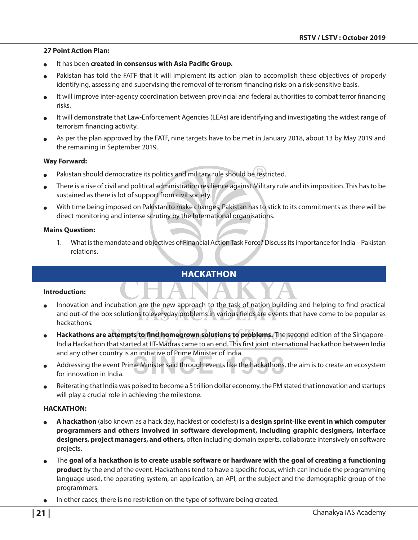#### **27 Point Action Plan:**

- It has been **created in consensus with Asia Pacific Group.**
- Pakistan has told the FATF that it will implement its action plan to accomplish these objectives of properly identifying, assessing and supervising the removal of terrorism financing risks on a risk-sensitive basis.
- It will improve inter-agency coordination between provincial and federal authorities to combat terror financing risks.
- It will demonstrate that Law-Enforcement Agencies (LEAs) are identifying and investigating the widest range of terrorism financing activity.
- As per the plan approved by the FATF, nine targets have to be met in January 2018, about 13 by May 2019 and the remaining in September 2019.

#### **Way Forward:**

- Pakistan should democratize its politics and military rule should be restricted.
- There is a rise of civil and political administration resilience against Military rule and its imposition. This has to be sustained as there is lot of support from civil society.
- With time being imposed on Pakistan to make changes, Pakistan has to stick to its commitments as there will be direct monitoring and intense scrutiny by the International organisations.

#### **Mains Question:**

1. What is the mandate and objectives of Financial Action Task Force? Discuss its importance for India – Pakistan relations.

## **HACKATHON**

#### **Introduction:**

- Innovation and incubation are the new approach to the task of nation building and helping to find practical and out-of the box solutions to everyday problems in various fields are events that have come to be popular as hackathons.
- Hackathons are attempts to find homegrown solutions to problems. The second edition of the Singapore-India Hackathon that started at IIT-Madras came to an end. This first joint international hackathon between India and any other country is an initiative of Prime Minister of India.
- Addressing the event Prime Minister said through events like the hackathons, the aim is to create an ecosystem for innovation in India.
- Reiterating that India was poised to become a 5 trillion dollar economy, the PM stated that innovation and startups will play a crucial role in achieving the milestone.

#### **HACKATHON:**

- <sup>O</sup> **A hackathon** (also known as a hack day, hackfest or codefest) is a **design sprint-like event in which computer programmers and others involved in software development, including graphic designers, interface designers, project managers, and others,** often including domain experts, collaborate intensively on software projects.
- <sup>O</sup> The **goal of a hackathon is to create usable software or hardware with the goal of creating a functioning product** by the end of the event. Hackathons tend to have a specific focus, which can include the programming language used, the operating system, an application, an API, or the subject and the demographic group of the programmers.
- In other cases, there is no restriction on the type of software being created.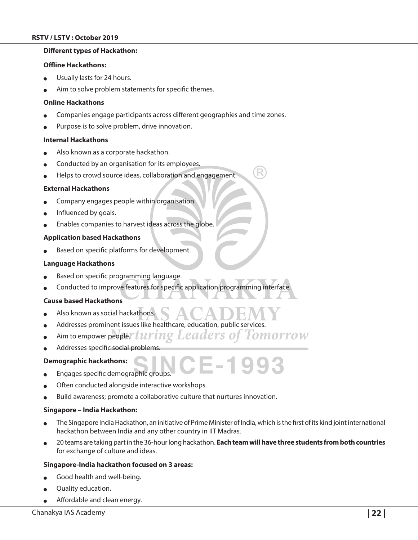#### **Different types of Hackathon:**

#### **Offline Hackathons:**

- Usually lasts for 24 hours.
- Aim to solve problem statements for specific themes.

#### **Online Hackathons**

- Companies engage participants across different geographies and time zones.
- Purpose is to solve problem, drive innovation.

#### **Internal Hackathons**

- Also known as a corporate hackathon.
- Conducted by an organisation for its employees.
- Helps to crowd source ideas, collaboration and engagement.

#### **External Hackathons**

- Company engages people within organisation.
- Influenced by goals.
- Enables companies to harvest ideas across the globe.

#### **Application based Hackathons**

Based on specific platforms for development.

#### **Language Hackathons**

- Based on specific programming language.
- Conducted to improve features for specific application programming interface.

#### **Cause based Hackathons**

- Also known as social hackathons.
- Addresses prominent issues like healthcare, education, public services.
- Aim to empower people." Luring Leaders of Tomorrow
- Addresses specific social problems.

#### **Demographic hackathons:**

- Engages specific demographic groups.
- Often conducted alongside interactive workshops.
- Build awareness; promote a collaborative culture that nurtures innovation.

#### **Singapore – India Hackathon:**

The Singapore India Hackathon, an initiative of Prime Minister of India, which is the first of its kind joint international hackathon between India and any other country in IIT Madras.

E-1993

<sup>O</sup> 20 teams are taking part in the 36-hour long hackathon. **Each team will have three students from both countries**  for exchange of culture and ideas.

#### **Singapore-India hackathon focused on 3 areas:**

- Good health and well-being.
- Quality education.
- Affordable and clean energy.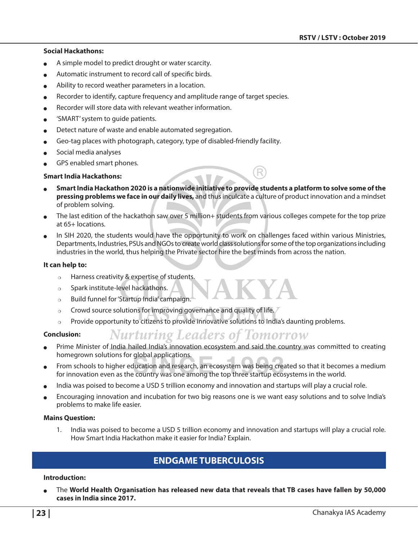#### **Social Hackathons:**

- A simple model to predict drought or water scarcity.
- Automatic instrument to record call of specific birds.
- Ability to record weather parameters in a location.
- Recorder to identify, capture frequency and amplitude range of target species.
- Recorder will store data with relevant weather information.
- $\bullet$  'SMART' system to quide patients.
- Detect nature of waste and enable automated segregation.
- Geo-tag places with photograph, category, type of disabled-friendly facility.
- Social media analyses
- GPS enabled smart phones.

#### **Smart India Hackathons:**

- <sup>O</sup> **Smart India Hackathon 2020 is a nationwide initiative to provide students a platform to solve some of the pressing problems we face in our daily lives,** and thus inculcate a culture of product innovation and a mindset of problem solving.
- The last edition of the hackathon saw over 5 million+ students from various colleges compete for the top prize at 65+ locations.
- In SIH 2020, the students would have the opportunity to work on challenges faced within various Ministries, Departments, Industries, PSUs and NGOs to create world class solutions for some of the top organizations including industries in the world, thus helping the Private sector hire the best minds from across the nation.

#### **It can help to:**

- $\circ$  Harness creativity & expertise of students.
- $\circ$  Spark institute-level hackathons.
- $\circ$  Build funnel for 'Startup India' campaign.
- $\circ$  Crowd source solutions for improving governance and quality of life.
- $\circ$  Provide opportunity to citizens to provide innovative solutions to India's daunting problems.

#### **Conclusion:**

- **Nurturing Leaders of Tomorrow**
- Prime Minister of India hailed India's innovation ecosystem and said the country was committed to creating homegrown solutions for global applications.
- From schools to higher education and research, an ecosystem was being created so that it becomes a medium for innovation even as the country was one among the top three startup ecosystems in the world.
- India was poised to become a USD 5 trillion economy and innovation and startups will play a crucial role.
- Encouraging innovation and incubation for two big reasons one is we want easy solutions and to solve India's problems to make life easier.

#### **Mains Question:**

1. India was poised to become a USD 5 trillion economy and innovation and startups will play a crucial role. How Smart India Hackathon make it easier for India? Explain.

# **ENDGAME TUBERCULOSIS**

#### **Introduction:**

<sup>O</sup> The **World Health Organisation has released new data that reveals that TB cases have fallen by 50,000 cases in India since 2017.**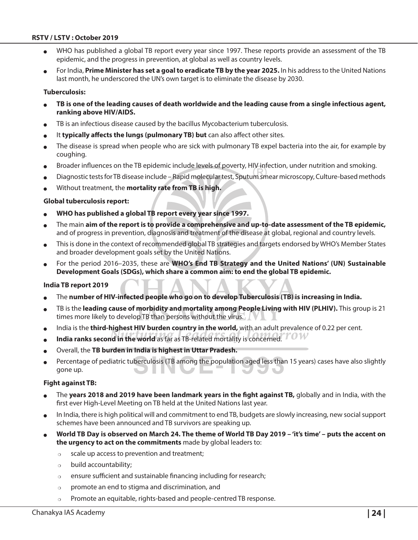- WHO has published a global TB report every year since 1997. These reports provide an assessment of the TB epidemic, and the progress in prevention, at global as well as country levels.
- For India, Prime Minister has set a goal to eradicate TB by the year 2025. In his address to the United Nations last month, he underscored the UN's own target is to eliminate the disease by 2030.

#### **Tuberculosis:**

- <sup>O</sup> **TB is one of the leading causes of death worldwide and the leading cause from a single infectious agent, ranking above HIV/AIDS.**
- TB is an infectious disease caused by the bacillus Mycobacterium tuberculosis.
- It **typically affects the lungs (pulmonary TB) but** can also affect other sites.
- The disease is spread when people who are sick with pulmonary TB expel bacteria into the air, for example by coughing.
- Broader influences on the TB epidemic include levels of poverty, HIV infection, under nutrition and smoking.
- Diagnostic tests for TB disease include Rapid molecular test, Sputum smear microscopy, Culture-based methods
- Without treatment, the **mortality rate from TB is high.**

#### **Global tuberculosis report:**

- <sup>O</sup> **WHO has published a global TB report every year since 1997.**
- <sup>O</sup> The main **aim of the report is to provide a comprehensive and up-to-date assessment of the TB epidemic,** and of progress in prevention, diagnosis and treatment of the disease at global, regional and country levels.
- This is done in the context of recommended global TB strategies and targets endorsed by WHO's Member States and broader development goals set by the United Nations.
- For the period 2016–2035, these are **WHO's End TB Strategy and the United Nations' (UN) Sustainable Development Goals (SDGs), which share a common aim: to end the global TB epidemic.**

#### **India TB report 2019**

- The number of HIV-infected people who go on to develop Tuberculosis (TB) is increasing in India.
- TB is the leading cause of morbidity and mortality among People Living with HIV (PLHIV). This group is 21 times more likely to develop TB than persons without the virus.
- India is the **third-highest HIV burden country in the world,** with an adult prevalence of 0.22 per cent.
- India ranks second in the world as far as TB-related mortality is concerned.<sup>7</sup> TOW
- <sup>O</sup> Overall, the **TB burden in India is highest in Uttar Pradesh.**
- Percentage of pediatric tuberculosis (TB among the population aged less than 15 years) cases have also slightly gone up.

#### **Fight against TB:**

- The years 2018 and 2019 have been landmark years in the fight against TB, globally and in India, with the first ever High-Level Meeting on TB held at the United Nations last year.
- In India, there is high political will and commitment to end TB, budgets are slowly increasing, new social support schemes have been announced and TB survivors are speaking up.
- <sup>O</sup> **World TB Day is observed on March 24. The theme of World TB Day 2019 'it's time' puts the accent on the urgency to act on the commitments** made by global leaders to:
	- $\circ$  scale up access to prevention and treatment;
	- $\circ$  build accountability;
	- $\circ$  ensure sufficient and sustainable financing including for research;
	- $\circ$  promote an end to stigma and discrimination, and
	- $\circ$  Promote an equitable, rights-based and people-centred TB response.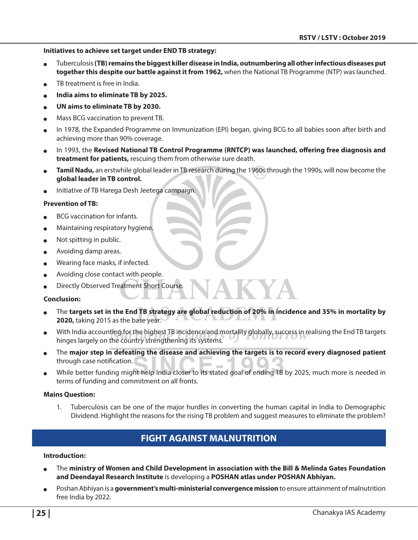#### **Initiatives to achieve set target under END TB strategy:**

- <sup>O</sup> Tuberculosis **(TB) remains the biggest killer disease in India, outnumbering all other infectious diseases put together this despite our battle against it from 1962,** when the National TB Programme (NTP) was launched.
- TB treatment is free in India.
- <sup>O</sup> **India aims to eliminate TB by 2025.**
- <sup>O</sup> **UN aims to eliminate TB by 2030.**
- Mass BCG vaccination to prevent TB.
- In 1978, the Expanded Programme on Immunization (EPI) began, giving BCG to all babies soon after birth and achieving more than 90% coverage.
- In 1993, the Revised National TB Control Programme (RNTCP) was launched, offering free diagnosis and **treatment for patients,** rescuing them from otherwise sure death.
- **Tamil Nadu,** an erstwhile global leader in TB research during the 1960s through the 1990s, will now become the **global leader in TB control.**
- Initiative of TB Harega Desh Jeetega campaign.

#### **Prevention of TB:**

- BCG vaccination for infants.
- Maintaining respiratory hygiene.
- Not spitting in public.
- Avoiding damp areas.
- Wearing face masks, if infected.
- Avoiding close contact with people.
- Directly Observed Treatment Short Course.

#### **Conclusion:**

- The targets set in the End TB strategy are global reduction of 20% in incidence and 35% in mortality by **2020, taking 2015 as the base year.**
- With India accounting for the highest TB incidence and mortality globally, success in realising the End TB targets hinges largely on the country strengthening its systems.
- The major step in defeating the disease and achieving the targets is to record every diagnosed patient through case notification. **College**
- While better funding might help India closer to its stated goal of ending TB by 2025, much more is needed in terms of funding and commitment on all fronts.

#### **Mains Question:**

1. Tuberculosis can be one of the major hurdles in converting the human capital in India to Demographic Dividend. Highlight the reasons for the rising TB problem and suggest measures to eliminate the problem?

# **Fight against Malnutrition**

#### **Introduction:**

- The ministry of Women and Child Development in association with the Bill & Melinda Gates Foundation **and Deendayal Research Institute** is developing a **POSHAN atlas under POSHAN Abhiyan.**
- Poshan Abhiyan is a **government's multi-ministerial convergence mission** to ensure attainment of malnutrition free India by 2022.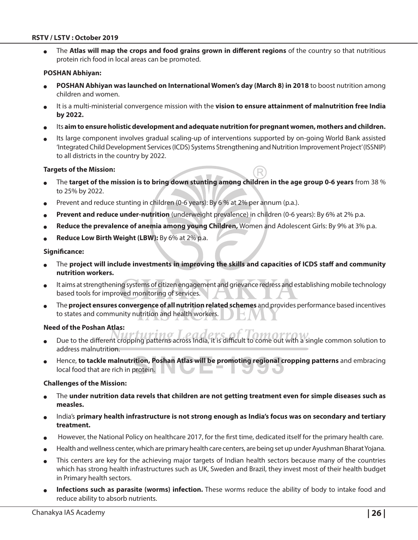The Atlas will map the crops and food grains grown in different regions of the country so that nutritious protein rich food in local areas can be promoted.

#### **POSHAN Abhiyan:**

- <sup>O</sup> **POSHAN Abhiyan was launched on International Women's day (March 8) in 2018** to boost nutrition among children and women.
- It is a multi-ministerial convergence mission with the **vision to ensure attainment of malnutrition free India by 2022.**
- Its aim to ensure holistic development and adequate nutrition for pregnant women, mothers and children.
- Its large component involves gradual scaling-up of interventions supported by on-going World Bank assisted 'Integrated Child Development Services (ICDS) Systems Strengthening and Nutrition Improvement Project' (ISSNIP) to all districts in the country by 2022.

#### **Targets of the Mission:**

- <sup>O</sup> The **target of the mission is to bring down stunting among children in the age group 0-6 years** from 38 % to 25% by 2022.
- Prevent and reduce stunting in children (0-6 years): By 6 % at 2% per annum (p.a.).
- **Prevent and reduce under-nutrition** (underweight prevalence) in children (0-6 years): By 6% at 2% p.a.
- Reduce the prevalence of anemia among young Children, Women and Adolescent Girls: By 9% at 3% p.a.
- **Reduce Low Birth Weight (LBW):** By 6% at 2% p.a.

#### **Significance:**

- <sup>O</sup> The **project will include investments in improving the skills and capacities of ICDS staff and community nutrition workers.**
- It aims at strengthening systems of citizen engagement and grievance redress and establishing mobile technology based tools for improved monitoring of services.
- The **project ensures convergence of all nutrition related schemes** and provides performance based incentives to states and community nutrition and health workers.

#### **Need of the Poshan Atlas:**

- Due to the different cropping patterns across India, it is difficult to come out with a single common solution to address malnutrition.
- Hence, **to tackle malnutrition, Poshan Atlas will be promoting regional cropping patterns** and embracing local food that are rich in protein.

#### **Challenges of the Mission:**

- The **under nutrition data revels that children are not getting treatment even for simple diseases such as measles.**
- India's primary health infrastructure is not strong enough as India's focus was on secondary and tertiary **treatment.**
- However, the National Policy on healthcare 2017, for the first time, dedicated itself for the primary health care.
- Health and wellness center, which are primary health care centers, are being set up under Ayushman Bharat Yojana.
- This centers are key for the achieving major targets of Indian health sectors because many of the countries which has strong health infrastructures such as UK, Sweden and Brazil, they invest most of their health budget in Primary health sectors.
- **Infections such as parasite (worms) infection.** These worms reduce the ability of body to intake food and reduce ability to absorb nutrients.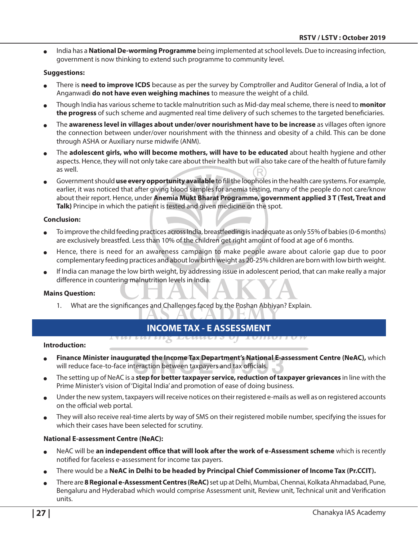<sup>O</sup> India has a **National De-worming Programme** being implemented at school levels. Due to increasing infection, government is now thinking to extend such programme to community level.

#### **Suggestions:**

- There is **need to improve ICDS** because as per the survey by Comptroller and Auditor General of India, a lot of Anganwadi **do not have even weighing machines** to measure the weight of a child.
- <sup>O</sup> Though India has various scheme to tackle malnutrition such as Mid-day meal scheme, there is need to **monitor the progress** of such scheme and augmented real time delivery of such schemes to the targeted beneficiaries.
- <sup>O</sup> The **awareness level in villages about under/over nourishment have to be increase** as villages often ignore the connection between under/over nourishment with the thinness and obesity of a child. This can be done through ASHA or Auxiliary nurse midwife (ANM).
- The **adolescent girls, who will become mothers, will have to be educated** about health hygiene and other aspects. Hence, they will not only take care about their health but will also take care of the health of future family as well.
- <sup>O</sup> Government should **use every opportunity available** to fill the loopholes in the health care systems. For example, earlier, it was noticed that after giving blood samples for anemia testing, many of the people do not care/know about their report. Hence, under **Anemia Mukt Bharat Programme, government applied 3 T (Test, Treat and Talk)** Principe in which the patient is tested and given medicine on the spot.

#### **Conclusion:**

- To improve the child feeding practices across India, breastfeeding is inadequate as only 55% of babies (0-6 months) are exclusively breastfed. Less than 10% of the children get right amount of food at age of 6 months.
- Hence, there is need for an awareness campaign to make people aware about calorie gap due to poor complementary feeding practices and about low birth weight as 20-25% children are born with low birth weight.
- If India can manage the low birth weight, by addressing issue in adolescent period, that can make really a major difference in countering malnutrition levels in India.

#### **Mains Question:**

1. What are the significances and Challenges faced by the Poshan Abhiyan? Explain.

TUI LUI LILX

#### **Income Tax - E Assessment ECULUCI S U**I

#### **Introduction:**

**Finance Minister inaugurated the Income Tax Department's National E-assessment Centre (NeAC),** which will reduce face-to-face interaction between taxpayers and tax officials.

<del>iuiiui i u n</del>

- <sup>O</sup> The setting up of NeAC is a **step for better taxpayer service, reduction of taxpayer grievances** in line with the Prime Minister's vision of 'Digital India' and promotion of ease of doing business.
- Under the new system, taxpayers will receive notices on their registered e-mails as well as on registered accounts on the official web portal.
- They will also receive real-time alerts by way of SMS on their registered mobile number, specifying the issues for which their cases have been selected for scrutiny.

#### **National E-assessment Centre (NeAC):**

- <sup>O</sup> NeAC will be **an independent office that will look after the work of e-Assessment scheme** which is recently notified for faceless e-assessment for income tax payers.
- There would be a **NeAC in Delhi to be headed by Principal Chief Commissioner of Income Tax (Pr.CCIT).**
- <sup>O</sup> There are **8 Regional e-Assessment Centres (ReAC)** set up at Delhi, Mumbai, Chennai, Kolkata Ahmadabad, Pune, Bengaluru and Hyderabad which would comprise Assessment unit, Review unit, Technical unit and Verification units.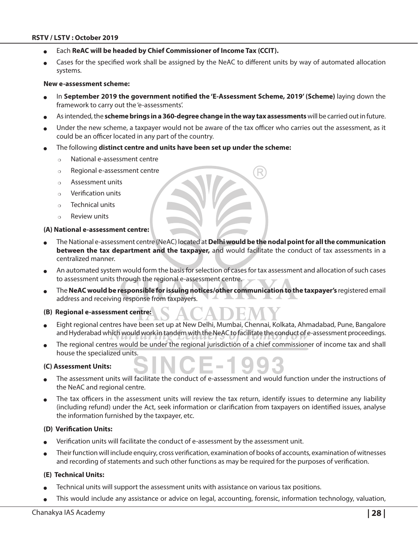- Each **ReAC will be headed by Chief Commissioner of Income Tax (CCIT).**
- Cases for the specified work shall be assigned by the NeAC to different units by way of automated allocation systems.

#### **New e-assessment scheme:**

- In September 2019 the government notified the 'E-Assessment Scheme, 2019' (Scheme) laying down the framework to carry out the 'e-assessments'.
- As intended, the scheme brings in a 360-degree change in the way tax assessments will be carried out in future.
- Under the new scheme, a taxpayer would not be aware of the tax officer who carries out the assessment, as it could be an officer located in any part of the country.
- <sup>O</sup> The following **distinct centre and units have been set up under the scheme:**
	- $\circ$  National e-assessment centre
	- $\circ$  Regional e-assessment centre
	- $\circ$  Assessment units
	- $\circ$  Verification units
	- $\circ$  Technical units
	- $\circ$  Review units

#### **(A) National e-assessment centre:**

- <sup>O</sup> The National e-assessment centre (NeAC) located at **Delhi would be the nodal point for all the communication between the tax department and the taxpayer,** and would facilitate the conduct of tax assessments in a centralized manner.
- An automated system would form the basis for selection of cases for tax assessment and allocation of such cases to assessment units through the regional e-assessment centre.
- The **NeAC would be responsible for issuing notices/other communication to the taxpayer's registered email** address and receiving response from taxpayers.

#### **(B) Regional e-assessment centre:**

- Eight regional centres have been set up at New Delhi, Mumbai, Chennai, Kolkata, Ahmadabad, Pune, Bangalore and Hyderabad which would work in tandem with the NeAC to facilitate the conduct of e-assessment proceedings.
- The regional centres would be under the regional jurisdiction of a chief commissioner of income tax and shall house the specialized units.

#### **(C) Assessment Units:**

- The assessment units will facilitate the conduct of e-assessment and would function under the instructions of the NeAC and regional centre.
- The tax officers in the assessment units will review the tax return, identify issues to determine any liability (including refund) under the Act, seek information or clarification from taxpayers on identified issues, analyse the information furnished by the taxpayer, etc.

#### **(D) Verification Units:**

- <sup>O</sup> Verification units will facilitate the conduct of e-assessment by the assessment unit.
- Their function will include enquiry, cross verification, examination of books of accounts, examination of witnesses and recording of statements and such other functions as may be required for the purposes of verification.

#### **(E) Technical Units:**

- Technical units will support the assessment units with assistance on various tax positions.
- This would include any assistance or advice on legal, accounting, forensic, information technology, valuation,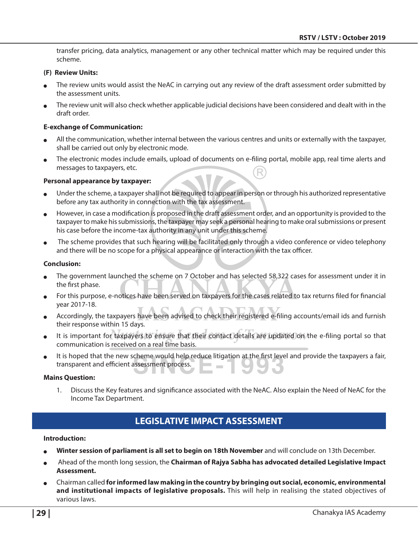transfer pricing, data analytics, management or any other technical matter which may be required under this scheme.

#### **(F) Review Units:**

- The review units would assist the NeAC in carrying out any review of the draft assessment order submitted by the assessment units.
- The review unit will also check whether applicable judicial decisions have been considered and dealt with in the draft order.

#### **E-exchange of Communication:**

- All the communication, whether internal between the various centres and units or externally with the taxpayer, shall be carried out only by electronic mode.
- The electronic modes include emails, upload of documents on e-filing portal, mobile app, real time alerts and messages to taxpayers, etc.

#### **Personal appearance by taxpayer:**

- Under the scheme, a taxpayer shall not be required to appear in person or through his authorized representative before any tax authority in connection with the tax assessment.
- However, in case a modification is proposed in the draft assessment order, and an opportunity is provided to the taxpayer to make his submissions, the taxpayer may seek a personal hearing to make oral submissions or present his case before the income-tax authority in any unit under this scheme.
- The scheme provides that such hearing will be facilitated only through a video conference or video telephony and there will be no scope for a physical appearance or interaction with the tax officer.

#### **Conclusion:**

- The government launched the scheme on 7 October and has selected 58,322 cases for assessment under it in the first phase.
- For this purpose, e-notices have been served on taxpayers for the cases related to tax returns filed for financial year 2017-18.
- Accordingly, the taxpayers have been advised to check their registered e-filing accounts/email ids and furnish their response within 15 days.
- It is important for taxpayers to ensure that their contact details are updated on the e-filing portal so that communication is received on a real time basis.
- It is hoped that the new scheme would help reduce litigation at the first level and provide the taxpayers a fair, transparent and efficient assessment process.

#### **Mains Question:**

1. Discuss the Key features and significance associated with the NeAC. Also explain the Need of NeAC for the Income Tax Department.

# **LEGISLATIVE IMPACT ASSESSMENT**

#### **Introduction:**

- Winter session of parliament is all set to begin on 18th November and will conclude on 13th December.
- <sup>O</sup> Ahead of the month long session, the **Chairman of Rajya Sabha has advocated detailed Legislative Impact Assessment.**
- <sup>O</sup> Chairman called **for informed law making in the country by bringing out social, economic, environmental and institutional impacts of legislative proposals.** This will help in realising the stated objectives of various laws.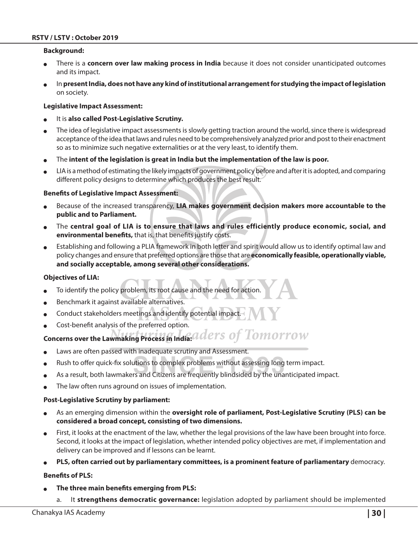#### **Background:**

- There is a **concern over law making process in India** because it does not consider unanticipated outcomes and its impact.
- <sup>O</sup> In **present India, does not have any kind of institutional arrangement for studying the impact of legislation** on society.

#### **Legislative Impact Assessment:**

- It is **also called Post-Legislative Scrutiny.**
- The idea of legislative impact assessments is slowly getting traction around the world, since there is widespread acceptance of the idea that laws and rules need to be comprehensively analyzed prior and post to their enactment so as to minimize such negative externalities or at the very least, to identify them.
- The intent of the legislation is great in India but the implementation of the law is poor.
- LIA is a method of estimating the likely impacts of government policy before and after it is adopted, and comparing different policy designs to determine which produces the best result.

#### **Benefits of Legislative Impact Assessment:**

- Because of the increased transparency, LIA makes government decision makers more accountable to the **public and to Parliament.**
- The central goal of LIA is to ensure that laws and rules efficiently produce economic, social, and **environmental benefits,** that is, that benefits justify costs.
- Establishing and following a PLIA framework in both letter and spirit would allow us to identify optimal law and policy changes and ensure that preferred options are those that are **economically feasible, operationally viable, and socially acceptable, among several other considerations.**

#### **Objectives of LIA:**

- To identify the policy problem, its root cause and the need for action.
- Benchmark it against available alternatives.
- Conduct stakeholders meetings and identify potential impact.
- Cost-benefit analysis of the preferred option.

# Concerns over the Lawmaking Process in India: a ders of Tomorrow

- Laws are often passed with inadequate scrutiny and Assessment.
- Rush to offer quick-fix solutions to complex problems without assessing long term impact.
- As a result, both lawmakers and Citizens are frequently blindsided by the unanticipated impact.
- The law often runs aground on issues of implementation.

#### **Post-Legislative Scrutiny by parliament:**

- As an emerging dimension within the **oversight role of parliament, Post-Legislative Scrutiny (PLS) can be considered a broad concept, consisting of two dimensions.**
- First, it looks at the enactment of the law, whether the legal provisions of the law have been brought into force. Second, it looks at the impact of legislation, whether intended policy objectives are met, if implementation and delivery can be improved and if lessons can be learnt.
- <sup>O</sup> **PLS, often carried out by parliamentary committees, is a prominent feature of parliamentary** democracy.

#### **Benefits of PLS:**

- The three main benefits emerging from PLS:
	- a. It **strengthens democratic governance:** legislation adopted by parliament should be implemented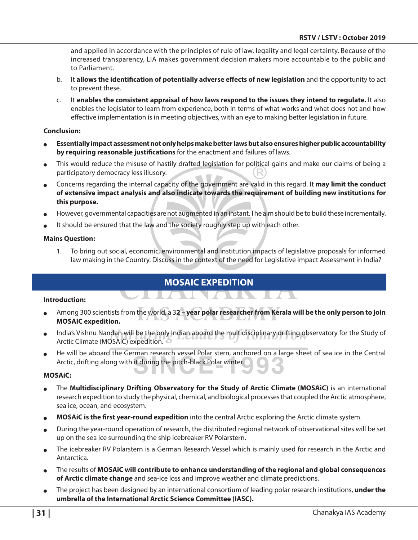and applied in accordance with the principles of rule of law, legality and legal certainty. Because of the increased transparency, LIA makes government decision makers more accountable to the public and to Parliament.

- b. It **allows the identification of potentially adverse effects of new legislation** and the opportunity to act to prevent these.
- c. It **enables the consistent appraisal of how laws respond to the issues they intend to regulate.** It also enables the legislator to learn from experience, both in terms of what works and what does not and how effective implementation is in meeting objectives, with an eye to making better legislation in future.

#### **Conclusion:**

- <sup>O</sup> **Essentially impact assessment not only helps make better laws but also ensures higher public accountability by requiring reasonable justifications** for the enactment and failures of laws.
- This would reduce the misuse of hastily drafted legislation for political gains and make our claims of being a participatory democracy less illusory.
- <sup>O</sup> Concerns regarding the internal capacity of the government are valid in this regard. It **may limit the conduct of extensive impact analysis and also indicate towards the requirement of building new institutions for this purpose.**
- However, governmental capacities are not augmented in an instant. The aim should be to build these incrementally.
- It should be ensured that the law and the society roughly step up with each other.

#### **Mains Question:**

1. To bring out social, economic, environmental and institution impacts of legislative proposals for informed law making in the Country. Discuss in the context of the need for Legislative impact Assessment in India?

# **MOSAiC Expedition**

#### **Introduction:**

- Among 300 scientists from the world, a 32 year polar researcher from Kerala will be the only person to join **MOSAIC expedition.**
- India's Vishnu Nandan will be the only Indian aboard the multidisciplinary drifting observatory for the Study of Arctic Climate (MOSAiC) expedition.
- He will be aboard the German research vessel Polar stern, anchored on a large sheet of sea ice in the Central Arctic, drifting along with it during the pitch-black Polar winter.

#### **MOSAiC:**

- The **Multidisciplinary Drifting Observatory for the Study of Arctic Climate (MOSAiC)** is an international research expedition to study the physical, chemical, and biological processes that coupled the Arctic atmosphere, sea ice, ocean, and ecosystem.
- <sup>O</sup> **MOSAiC is the first year-round expedition** into the central Arctic exploring the Arctic climate system.
- <sup>O</sup> During the year-round operation of research, the distributed regional network of observational sites will be set up on the sea ice surrounding the ship icebreaker RV Polarstern.
- The icebreaker RV Polarstern is a German Research Vessel which is mainly used for research in the Arctic and Antarctica.
- <sup>O</sup> The results of **MOSAiC will contribute to enhance understanding of the regional and global consequences of Arctic climate change** and sea-ice loss and improve weather and climate predictions.
- <sup>O</sup> The project has been designed by an international consortium of leading polar research institutions, **under the umbrella of the International Arctic Science Committee (IASC).**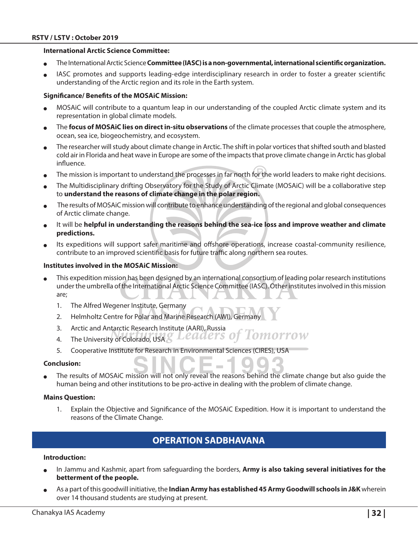#### **International Arctic Science Committee:**

- <sup>O</sup> The International Arctic Science **Committee (IASC) is a non-governmental, international scientific organization.**
- IASC promotes and supports leading-edge interdisciplinary research in order to foster a greater scientific understanding of the Arctic region and its role in the Earth system.

#### **Significance/ Benefits of the MOSAiC Mission:**

- <sup>O</sup> MOSAiC will contribute to a quantum leap in our understanding of the coupled Arctic climate system and its representation in global climate models.
- The **focus of MOSAiC lies on direct in-situ observations** of the climate processes that couple the atmosphere, ocean, sea ice, biogeochemistry, and ecosystem.
- The researcher will study about climate change in Arctic. The shift in polar vortices that shifted south and blasted cold air in Florida and heat wave in Europe are some of the impacts that prove climate change in Arctic has global influence.
- The mission is important to understand the processes in far north for the world leaders to make right decisions.
- The Multidisciplinary drifting Observatory for the Study of Arctic Climate (MOSAiC) will be a collaborative step to **understand the reasons of climate change in the polar region.**
- The results of MOSAiC mission will contribute to enhance understanding of the regional and global consequences of Arctic climate change.
- It will be **helpful in understanding the reasons behind the sea-ice loss and improve weather and climate predictions.**
- Its expeditions will support safer maritime and offshore operations, increase coastal-community resilience, contribute to an improved scientific basis for future traffic along northern sea routes.

#### **Institutes involved in the MOSAiC Mission:**

- This expedition mission has been designed by an international consortium of leading polar research institutions under the umbrella of the International Arctic Science Committee (IASC). Other institutes involved in this mission are;
	- 1. The Alfred Wegener Institute, Germany
	- 2. Helmholtz Centre for Polar and Marine Research (AWI), Germany
	- 3. Arctic and Antarctic Research Institute (AARI), Russia
	- 4. The University of Colorado, USA & Leaders o omorrow
	- 5. Cooperative Institute for Research in Environmental Sciences (CIRES), USA

#### **Conclusion:**

The results of MOSAIC mission will not only reveal the reasons behind the climate change but also quide the human being and other institutions to be pro-active in dealing with the problem of climate change.

#### **Mains Question:**

1. Explain the Objective and Significance of the MOSAiC Expedition. How it is important to understand the reasons of the Climate Change.

# **Operation Sadbhavana**

#### **Introduction:**

- In Jammu and Kashmir, apart from safeguarding the borders, **Army is also taking several initiatives for the betterment of the people.**
- <sup>O</sup> As a part of this goodwill initiative, the **Indian Army has established 45 Army Goodwill schools in J&K** wherein over 14 thousand students are studying at present.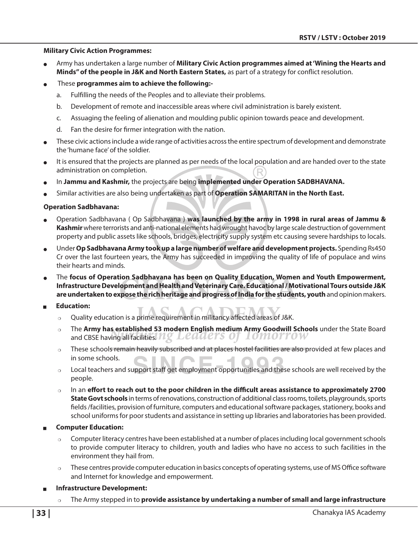#### **Military Civic Action Programmes:**

- Army has undertaken a large number of **Military Civic Action programmes aimed at 'Wining the Hearts and Minds" of the people in J&K and North Eastern States,** as part of a strategy for conflict resolution.
- These **programmes aim to achieve the following:**
	- a. Fulfilling the needs of the Peoples and to alleviate their problems.
	- b. Development of remote and inaccessible areas where civil administration is barely existent.
	- c. Assuaging the feeling of alienation and moulding public opinion towards peace and development.
	- d. Fan the desire for firmer integration with the nation.
- These civic actions include a wide range of activities across the entire spectrum of development and demonstrate the 'humane face' of the soldier.
- It is ensured that the projects are planned as per needs of the local population and are handed over to the state administration on completion.
- In **Jammu and Kashmir,** the projects are being **implemented under Operation SADBHAVANA.**
- <sup>O</sup> Similar activities are also being undertaken as part of **Operation SAMARITAN in the North East.**

#### **Operation Sadbhavana:**

- <sup>O</sup> Operation Sadbhavana ( Op Sadbhavana ) **was launched by the army in 1998 in rural areas of Jammu & Kashmir** where terrorists and anti-national elements had wrought havoc by large scale destruction of government property and public assets like schools, bridges, electricity supply system etc causing severe hardships to locals.
- <sup>O</sup> Under **Op Sadbhavana Army took up a large number of welfare and development projects.** Spending Rs450 Cr over the last fourteen years, the Army has succeeded in improving the quality of life of populace and wins their hearts and minds.
- The focus of Operation Sadbhavana has been on Quality Education, Women and Youth Empowerment, **Infrastructure Development and Health and Veterinary Care. Educational / Motivational Tours outside J&K are undertaken to expose the rich heritage and progress of India for the students, youth** and opinion makers.
- Education:
	- $\circ$  Quality education is a prime requirement in militancy affected areas of J&K.
	- <sup>P</sup> The **Army has established 53 modern English medium Army Goodwill Schools** under the State Board and CBSE having all facilities.  $\mathbb{Z} \times \mathbb{Z}$   $\mathbb{Z}$   $\mathbb{Z}$   $\mathbb{Z}$   $\mathbb{Z}$   $\mathbb{Z}$   $\mathbb{Z}$   $\mathbb{Z}$   $\mathbb{Z}$   $\mathbb{Z}$   $\mathbb{Z}$   $\mathbb{Z}$   $\mathbb{Z}$   $\mathbb{Z}$   $\mathbb{Z}$   $\mathbb{Z}$   $\mathbb{Z}$   $\mathbb{Z}$   $\mathbb{Z}$   $\mathbb{Z}$  *TOMOTTOW*
	- $\circ$  These schools remain heavily subscribed and at places hostel facilities are also provided at few places and in some schools.
	- $\circ$  Local teachers and support staff get employment opportunities and these schools are well received by the people.
	- In an effort to reach out to the poor children in the difficult areas assistance to approximately 2700 **State Govt schools** in terms of renovations, construction of additional class rooms, toilets, playgrounds, sports fields /facilities, provision of furniture, computers and educational software packages, stationery, books and school uniforms for poor students and assistance in setting up libraries and laboratories has been provided.

#### **Computer Education:**

- Computer literacy centres have been established at a number of places including local government schools to provide computer literacy to children, youth and ladies who have no access to such facilities in the environment they hail from.
- These centres provide computer education in basics concepts of operating systems, use of MS Office software and Internet for knowledge and empowerment.

#### <sup>Q</sup> **Infrastructure Development:**

<sup>P</sup> The Army stepped in to **provide assistance by undertaking a number of small and large infrastructure**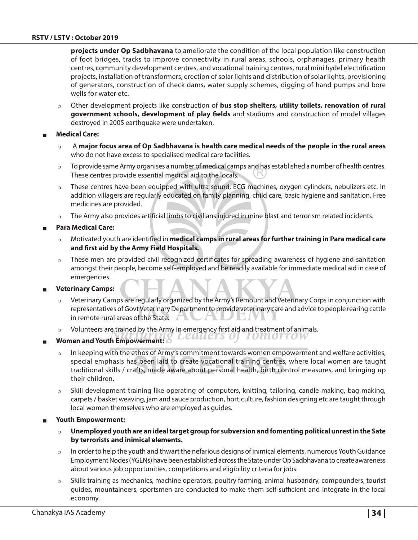**projects under Op Sadbhavana** to ameliorate the condition of the local population like construction of foot bridges, tracks to improve connectivity in rural areas, schools, orphanages, primary health centres, community development centres, and vocational training centres, rural mini hydel electrification projects, installation of transformers, erection of solar lights and distribution of solar lights, provisioning of generators, construction of check dams, water supply schemes, digging of hand pumps and bore wells for water etc.

- <sup>P</sup> Other development projects like construction of **bus stop shelters, utility toilets, renovation of rural government schools, development of play fields** and stadiums and construction of model villages destroyed in 2005 earthquake were undertaken.
- **Medical Care:** 
	- <sup>P</sup> A **major focus area of Op Sadbhavana is health care medical needs of the people in the rural areas**  who do not have excess to specialised medical care facilities.
	- $\circ$  To provide same Army organises a number of medical camps and has established a number of health centres. These centres provide essential medical aid to the locals.
	- $\circ$  These centres have been equipped with ultra sound, ECG machines, oxygen cylinders, nebulizers etc. In addition villagers are regularly educated on family planning, child care, basic hygiene and sanitation. Free medicines are provided.
	- $\circ$  The Army also provides artificial limbs to civilians injured in mine blast and terrorism related incidents.

#### <sup>Q</sup> **Para Medical Care:**

- Motivated youth are identified in *medical camps in rural areas for further training in Para medical care* **and first aid by the Army Field Hospitals.**
- $\circ$  These men are provided civil recognized certificates for spreading awareness of hygiene and sanitation amongst their people, become self-employed and be readily available for immediate medical aid in case of emergencies.

**Veterinary Camps:** 

- <sup>P</sup> Veterinary Camps are regularly organized by the Army's Remount and Veterinary Corps in conjunction with representatives of Govt Veterinary Department to provide veterinary care and advice to people rearing cattle in remote rural areas of the State. - 17
- Volunteers are trained by the Army in emergency first aid and treatment of animals.
- Leaaers of *LOMOTTOW* Women and Youth Empowerment:  $\delta$ 
	- In keeping with the ethos of Army's commitment towards women empowerment and welfare activities, special emphasis has been laid to create vocational training centres, where local women are taught traditional skills / crafts, made aware about personal health, birth control measures, and bringing up their children.
	- $\circ$  Skill development training like operating of computers, knitting, tailoring, candle making, bag making, carpets / basket weaving, jam and sauce production, horticulture, fashion designing etc are taught through local women themselves who are employed as guides.
- <sup>Q</sup> **Youth Empowerment:**
	- <sup>P</sup> **Unemployed youth are an ideal target group for subversion and fomenting political unrest in the Sate by terrorists and inimical elements.**
	- $\circ$  In order to help the youth and thwart the nefarious designs of inimical elements, numerous Youth Guidance Employment Nodes (YGENs) have been established across the State under Op Sadbhavana to create awareness about various job opportunities, competitions and eligibility criteria for jobs.
	- $\circ$  Skills training as mechanics, machine operators, poultry farming, animal husbandry, compounders, tourist guides, mountaineers, sportsmen are conducted to make them self-sufficient and integrate in the local economy.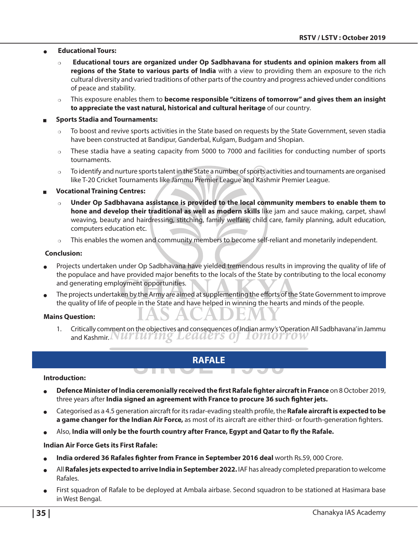#### **Educational Tours:**

- <sup>P</sup> **Educational tours are organized under Op Sadbhavana for students and opinion makers from all regions of the State to various parts of India** with a view to providing them an exposure to the rich cultural diversity and varied traditions of other parts of the country and progress achieved under conditions of peace and stability.
- o This exposure enables them to **become responsible "citizens of tomorrow" and gives them an insight to appreciate the vast natural, historical and cultural heritage** of our country.

#### <sup>Q</sup> **Sports Stadia and Tournaments:**

- $\circ$  To boost and revive sports activities in the State based on requests by the State Government, seven stadia have been constructed at Bandipur, Ganderbal, Kulgam, Budgam and Shopian.
- $\circ$  These stadia have a seating capacity from 5000 to 7000 and facilities for conducting number of sports tournaments.
- $\circ$  To identify and nurture sports talent in the State a number of sports activities and tournaments are organised like T-20 Cricket Tournaments like Jammu Premier League and Kashmir Premier League.

#### <sup>Q</sup> **Vocational Training Centres:**

- Under Op Sadbhavana assistance is provided to the local community members to enable them to **hone and develop their traditional as well as modern skills** like jam and sauce making, carpet, shawl weaving, beauty and hairdressing, stitching, family welfare, child care, family planning, adult education, computers education etc.
- $\circ$  This enables the women and community members to become self-reliant and monetarily independent.

#### **Conclusion:**

- Projects undertaken under Op Sadbhavana have yielded tremendous results in improving the quality of life of the populace and have provided major benefits to the locals of the State by contributing to the local economy and generating employment opportunities.
- The projects undertaken by the Army are aimed at supplementing the efforts of the State Government to improve the quality of life of people in the State and have helped in winning the hearts and minds of the people.

#### **Mains Question:**

1. Critically comment on the objectives and consequences of Indian army's 'Operation All Sadbhavana' in Jammu and Kashmir. INUTUTING LEAAETS OT 10MOTTOW

 $\overline{\phantom{0}}$ 

#### **RAFALE**

 $\overline{\phantom{a}}$ 

<u>e tin vi</u>

#### **Introduction:**

- <sup>O</sup> **Defence Minister of India ceremonially received the first Rafale fighter aircraft in France** on 8 October 2019, three years after **India signed an agreement with France to procure 36 such fighter jets.**
- <sup>O</sup> Categorised as a 4.5 generation aircraft for its radar-evading stealth profile, the **Rafale aircraft is expected to be a game changer for the Indian Air Force,** as most of its aircraft are either third- or fourth-generation fighters.
- <sup>O</sup> Also, **India will only be the fourth country after France, Egypt and Qatar to fly the Rafale.**

#### **Indian Air Force Gets its First Rafale:**

- <sup>O</sup> **India ordered 36 Rafales fighter from France in September 2016 deal** worth Rs.59, 000 Crore.
- All **Rafales jets expected to arrive India in September 2022.** IAF has already completed preparation to welcome Rafales.
- First squadron of Rafale to be deployed at Ambala airbase. Second squadron to be stationed at Hasimara base in West Bengal.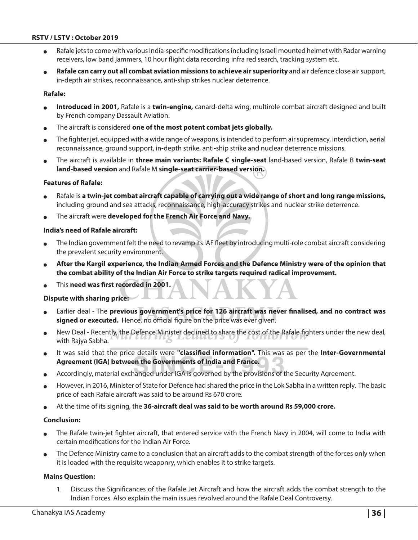- Rafale jets to come with various India-specific modifications including Israeli mounted helmet with Radar warning receivers, low band jammers, 10 hour flight data recording infra red search, tracking system etc.
- Rafale can carry out all combat aviation missions to achieve air superiority and air defence close air support, in-depth air strikes, reconnaissance, anti-ship strikes nuclear deterrence.

#### **Rafale:**

- Introduced in 2001, Rafale is a twin-engine, canard-delta wing, multirole combat aircraft designed and built by French company Dassault Aviation.
- The aircraft is considered one of the most potent combat jets globally.
- The fighter jet, equipped with a wide range of weapons, is intended to perform air supremacy, interdiction, aerial reconnaissance, ground support, in-depth strike, anti-ship strike and nuclear deterrence missions.
- <sup>O</sup> The aircraft is available in **three main variants: Rafale C single-seat** land-based version, Rafale B **twin-seat land-based version** and Rafale M **single-seat carrier-based version.**

#### **Features of Rafale:**

- Rafale is a twin-jet combat aircraft capable of carrying out a wide range of short and long range missions, including ground and sea attacks, reconnaissance, high-accuracy strikes and nuclear strike deterrence.
- The aircraft were **developed for the French Air Force and Navy.**

#### **India's need of Rafale aircraft:**

- The Indian government felt the need to revamp its IAF fleet by introducing multi-role combat aircraft considering the prevalent security environment.
- <sup>O</sup> **After the Kargil experience, the Indian Armed Forces and the Defence Ministry were of the opinion that the combat ability of the Indian Air Force to strike targets required radical improvement.**
- <sup>O</sup> This **need was first recorded in 2001.**

#### **Dispute with sharing price:**

- Earlier deal The previous government's price for 126 aircraft was never finalised, and no contract was **signed or executed.** Hence, no official figure on the price was ever given.
- New Deal Recently, the Defence Minister declined to share the cost of the Rafale fighters under the new deal, with Rajya Sabha.
- It was said that the price details were "classified information". This was as per the Inter-Governmental **Agreement (IGA) between the Governments of India and France.**
- Accordingly, material exchanged under IGA is governed by the provisions of the Security Agreement.
- However, in 2016, Minister of State for Defence had shared the price in the Lok Sabha in a written reply. The basic price of each Rafale aircraft was said to be around Rs 670 crore.
- <sup>O</sup> At the time of its signing, the **36-aircraft deal was said to be worth around Rs 59,000 crore.**

#### **Conclusion:**

- The Rafale twin-jet fighter aircraft, that entered service with the French Navy in 2004, will come to India with certain modifications for the Indian Air Force.
- The Defence Ministry came to a conclusion that an aircraft adds to the combat strength of the forces only when it is loaded with the requisite weaponry, which enables it to strike targets.

#### **Mains Question:**

1. Discuss the Significances of the Rafale Jet Aircraft and how the aircraft adds the combat strength to the Indian Forces. Also explain the main issues revolved around the Rafale Deal Controversy.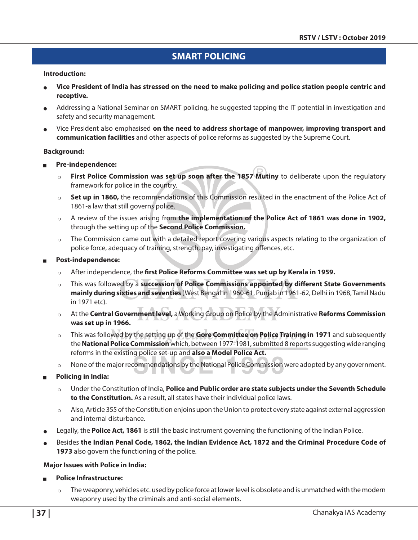# **SMART Policing**

#### **Introduction:**

- <sup>O</sup> **Vice President of India has stressed on the need to make policing and police station people centric and receptive.**
- Addressing a National Seminar on SMART policing, he suggested tapping the IT potential in investigation and safety and security management.
- <sup>O</sup> Vice President also emphasised **on the need to address shortage of manpower, improving transport and communication facilities** and other aspects of police reforms as suggested by the Supreme Court.

#### **Background:**

- <sup>Q</sup> **Pre-independence:** 
	- o First Police Commission was set up soon after the 1857 Mutiny to deliberate upon the regulatory framework for police in the country.
	- <sup>P</sup> **Set up in 1860,** the recommendations of this Commission resulted in the enactment of the Police Act of 1861-a law that still governs police.
	- <sup>P</sup> A review of the issues arising from **the implementation of the Police Act of 1861 was done in 1902,**  through the setting up of the **Second Police Commission.**
	- $\circ$  The Commission came out with a detailed report covering various aspects relating to the organization of police force, adequacy of training, strength, pay, investigating offences, etc.

#### <sup>Q</sup> **Post-independence:**

- o After independence, the **first Police Reforms Committee was set up by Kerala in 1959.**
- <sup>P</sup> This was followed by a **succession of Police Commissions appointed by different State Governments mainly during sixties and seventies** (West Bengal in 1960-61, Punjab in 1961-62, Delhi in 1968, Tamil Nadu in 1971 etc).
- <sup>P</sup> At the **Central Government level,** a Working Group on Police by the Administrative **Reforms Commission was set up in 1966.**
- <sup>P</sup> This was followed by the setting up of the **Gore Committee on Police Training in 1971** and subsequently the **National Police Commission** which, between 1977-1981, submitted 8 reports suggesting wide ranging reforms in the existing police set-up and **also a Model Police Act.**
- $\circ$  None of the major recommendations by the National Police Commission were adopted by any government.
- <sup>Q</sup> **Policing in India:**
	- <sup>P</sup> Under the Constitution of India, **Police and Public order are state subjects under the Seventh Schedule to the Constitution.** As a result, all states have their individual police laws.
	- Also, Article 355 of the Constitution enjoins upon the Union to protect every state against external aggression and internal disturbance.
- Legally, the **Police Act, 1861** is still the basic instrument governing the functioning of the Indian Police.
- <sup>O</sup> Besides **the Indian Penal Code, 1862, the Indian Evidence Act, 1872 and the Criminal Procedure Code of 1973** also govern the functioning of the police.

#### **Major Issues with Police in India:**

- <sup>Q</sup> **Police Infrastructure:**
	- $\circ$  The weaponry, vehicles etc. used by police force at lower level is obsolete and is unmatched with the modern weaponry used by the criminals and anti-social elements.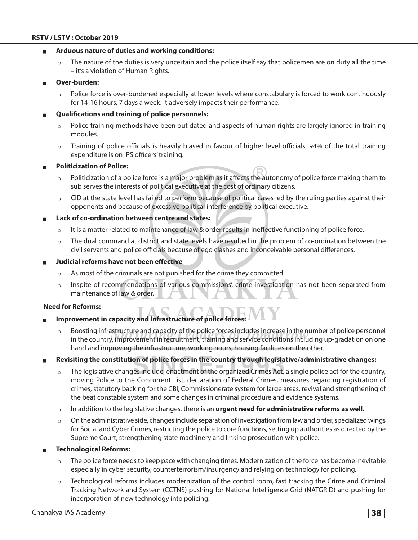#### **Arduous nature of duties and working conditions:**

 $\circ$  The nature of the duties is very uncertain and the police itself say that policemen are on duty all the time – it's a violation of Human Rights.

#### <sup>Q</sup> **Over-burden:**

 $\circ$  Police force is over-burdened especially at lower levels where constabulary is forced to work continuously for 14-16 hours, 7 days a week. It adversely impacts their performance.

#### <sup>Q</sup> **Qualifications and training of police personnels:**

- $\circ$  Police training methods have been out dated and aspects of human rights are largely ignored in training modules.
- $\circ$  Training of police officials is heavily biased in favour of higher level officials. 94% of the total training expenditure is on IPS officers' training.

#### **Politicization of Police:**

- $\circ$  Politicization of a police force is a major problem as it affects the autonomy of police force making them to sub serves the interests of political executive at the cost of ordinary citizens.
- $\circ$  CID at the state level has failed to perform because of political cases led by the ruling parties against their opponents and because of excessive political interference by political executive.
- Lack of co-ordination between centre and states:
	- $\circ$  It is a matter related to maintenance of law & order results in ineffective functioning of police force.
	- $\circ$  The dual command at district and state levels have resulted in the problem of co-ordination between the civil servants and police officials because of ego clashes and inconceivable personal differences.
- <sup>Q</sup> **Judicial reforms have not been effective** 
	- $\circ$  As most of the criminals are not punished for the crime they committed.
	- $\circ$  Inspite of recommendations of various commissions', crime investigation has not been separated from maintenance of law & order.

#### **Need for Reforms:**

- Improvement in capacity and infrastructure of police forces:
	- $\circ$  Boosting infrastructure and capacity of the police forces includes increase in the number of police personnel in the country, improvement in recruitment, training and service conditions including up-gradation on one hand and improving the infrastructure, working hours, housing facilities on the other.
- <sup>Q</sup> **Revisiting the constitution of police forces in the country through legislative/administrative changes:** 
	- The legislative changes include, enactment of the organized Crimes Act, a single police act for the country, moving Police to the Concurrent List, declaration of Federal Crimes, measures regarding registration of crimes, statutory backing for the CBI, Commissionerate system for large areas, revival and strengthening of the beat constable system and some changes in criminal procedure and evidence systems.
	- o In addition to the legislative changes, there is an **urgent need for administrative reforms as well.**
	- $\circ$  On the administrative side, changes include separation of investigation from law and order, specialized wings for Social and Cyber Crimes, restricting the police to core functions, setting up authorities as directed by the Supreme Court, strengthening state machinery and linking prosecution with police.

#### <sup>Q</sup> **Technological Reforms:**

- $\circ$  The police force needs to keep pace with changing times. Modernization of the force has become inevitable especially in cyber security, counterterrorism/insurgency and relying on technology for policing.
- $\circ$  Technological reforms includes modernization of the control room, fast tracking the Crime and Criminal Tracking Network and System (CCTNS) pushing for National Intelligence Grid (NATGRID) and pushing for incorporation of new technology into policing.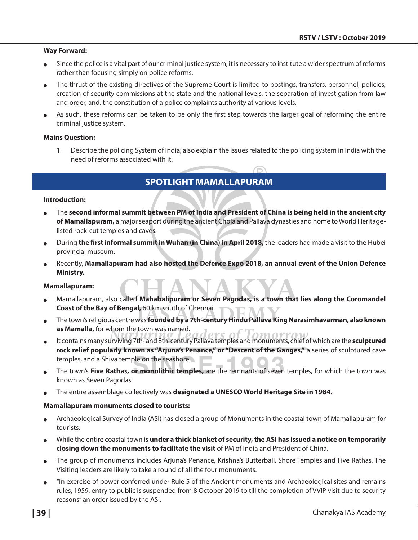#### **Way Forward:**

- Since the police is a vital part of our criminal justice system, it is necessary to institute a wider spectrum of reforms rather than focusing simply on police reforms.
- The thrust of the existing directives of the Supreme Court is limited to postings, transfers, personnel, policies, creation of security commissions at the state and the national levels, the separation of investigation from law and order, and, the constitution of a police complaints authority at various levels.
- As such, these reforms can be taken to be only the first step towards the larger goal of reforming the entire criminal justice system.

#### **Mains Question:**

1. Describe the policing System of India; also explain the issues related to the policing system in India with the need of reforms associated with it.

# **Spotlight Mamallapuram**

#### **Introduction:**

- <sup>O</sup> The **second informal summit between PM of India and President of China is being held in the ancient city of Mamallapuram,** a major seaport during the ancient Chola and Pallava dynasties and home to World Heritagelisted rock-cut temples and caves.
- During **the first informal summit in Wuhan (in China) in April 2018,** the leaders had made a visit to the Hubei provincial museum.
- Recently, **Mamallapuram had also hosted the Defence Expo 2018, an annual event of the Union Defence Ministry.**

#### **Mamallapuram:**

- <sup>O</sup> Mamallapuram, also called **Mahabalipuram or Seven Pagodas, is a town that lies along the Coromandel Coast of the Bay of Bengal,** 60 km south of Chennai.
- <sup>O</sup> The town's religious centre was **founded by a 7th-century Hindu Pallava King Narasimhavarman, also known as Mamalla,** for whom the town was named.
- It contains many surviving 7th- and 8th-century Pallava temples and monuments, chief of which are the **sculptured rock relief popularly known as "Arjuna's Penance," or "Descent of the Ganges,"** a series of sculptured cave temples, and a Shiva temple on the seashore.
- The town's Five Rathas, or monolithic temples, are the remnants of seven temples, for which the town was known as Seven Pagodas.
- <sup>O</sup> The entire assemblage collectively was **designated a UNESCO World Heritage Site in 1984.**

#### **Mamallapuram monuments closed to tourists:**

- Archaeological Survey of India (ASI) has closed a group of Monuments in the coastal town of Mamallapuram for tourists.
- While the entire coastal town is **under a thick blanket of security, the ASI has issued a notice on temporarily closing down the monuments to facilitate the visit** of PM of India and President of China.
- The group of monuments includes Arjuna's Penance, Krishna's Butterball, Shore Temples and Five Rathas, The Visiting leaders are likely to take a round of all the four monuments.
- "In exercise of power conferred under Rule 5 of the Ancient monuments and Archaeological sites and remains rules, 1959, entry to public is suspended from 8 October 2019 to till the completion of VVIP visit due to security reasons" an order issued by the ASI.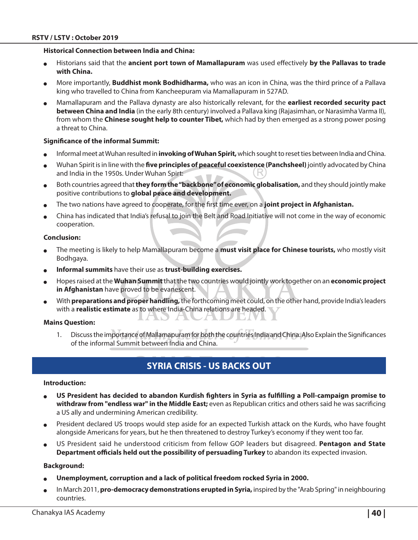#### **Historical Connection between India and China:**

- <sup>O</sup> Historians said that the **ancient port town of Mamallapuram** was used effectively **by the Pallavas to trade with China.**
- <sup>O</sup> More importantly, **Buddhist monk Bodhidharma,** who was an icon in China, was the third prince of a Pallava king who travelled to China from Kancheepuram via Mamallapuram in 527AD.
- <sup>O</sup> Mamallapuram and the Pallava dynasty are also historically relevant, for the **earliest recorded security pact between China and India** (in the early 8th century) involved a Pallava king (Rajasimhan, or Narasimha Varma II), from whom the **Chinese sought help to counter Tibet,** which had by then emerged as a strong power posing a threat to China.

#### **Significance of the informal Summit:**

- <sup>O</sup> Informal meet at Wuhan resulted in **invoking of Wuhan Spirit,** which sought to reset ties between India and China.
- <sup>O</sup> Wuhan Spirit is in line with the **five principles of peaceful coexistence (Panchsheel)** jointly advocated by China and India in the 1950s. Under Wuhan Spirt:
- Both countries agreed that **they form the "backbone" of economic globalisation**, and they should jointly make positive contributions to **global peace and development.**
- The two nations have agreed to cooperate, for the first time ever, on a **joint project in Afghanistan.**
- <sup>O</sup> China has indicated that India's refusal to join the Belt and Road Initiative will not come in the way of economic cooperation.

#### **Conclusion:**

- The meeting is likely to help Mamallapuram become a **must visit place for Chinese tourists**, who mostly visit Bodhgaya.
- **Informal summits** have their use as **trust-building exercises.**

**ALL AND** 

- <sup>O</sup> Hopes raised at the **Wuhan Summit** that the two countries would jointly work together on an **economic project in Afghanistan** have proved to be evanescent.
- <sup>O</sup> With **preparations and proper handling,** the forthcoming meet could, on the other hand, provide India's leaders with a **realistic estimate** as to where India-China relations are headed.

#### **Mains Question:**

1. Discuss the importance of Mallamapuram for both the countries India and China. Also Explain the Significances of the informal Summit between India and China.

# **Syria Crisis - US Backs out**

#### **Introduction:**

- <sup>O</sup> **US President has decided to abandon Kurdish fighters in Syria as fulfilling a Poll-campaign promise to withdraw from "endless war" in the Middle East;** even as Republican critics and others said he was sacrificing a US ally and undermining American credibility.
- President declared US troops would step aside for an expected Turkish attack on the Kurds, who have fought alongside Americans for years, but he then threatened to destroy Turkey's economy if they went too far.
- <sup>O</sup> US President said he understood criticism from fellow GOP leaders but disagreed. **Pentagon and State Department officials held out the possibility of persuading Turkey** to abandon its expected invasion.

#### **Background:**

- <sup>O</sup> **Unemployment, corruption and a lack of political freedom rocked Syria in 2000.**
- In March 2011, **pro-democracy demonstrations erupted in Syria,** inspired by the "Arab Spring" in neighbouring countries.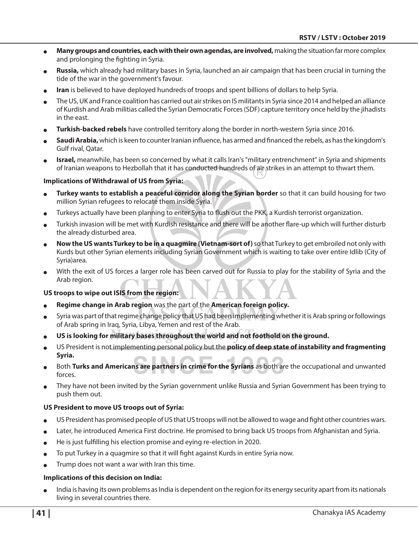- <sup>O</sup> **Many groups and countries, each with their own agendas, are involved,** making the situation far more complex and prolonging the fighting in Syria.
- Russia, which already had military bases in Syria, launched an air campaign that has been crucial in turning the tide of the war in the government's favour.
- Iran is believed to have deployed hundreds of troops and spent billions of dollars to help Syria.
- The US, UK and France coalition has carried out air strikes on IS militants in Syria since 2014 and helped an alliance of Kurdish and Arab militias called the Syrian Democratic Forces (SDF) capture territory once held by the jihadists in the east.
- Turkish-backed rebels have controlled territory along the border in north-western Syria since 2016.
- **Saudi Arabia,** which is keen to counter Iranian influence, has armed and financed the rebels, as has the kingdom's Gulf rival, Qatar.
- **Israel,** meanwhile, has been so concerned by what it calls Iran's "military entrenchment" in Syria and shipments of Iranian weapons to Hezbollah that it has conducted hundreds of air strikes in an attempt to thwart them.

#### **Implications of Withdrawal of US from Syria:**

- Turkey wants to establish a peaceful corridor along the Syrian border so that it can build housing for two million Syrian refugees to relocate them inside Syria.
- Turkeys actually have been planning to enter Syria to flush out the PKK, a Kurdish terrorist organization.
- Turkish invasion will be met with Kurdish resistance and there will be another flare-up which will further disturb the already disturbed area.
- Now the US wants Turkey to be in a quagmire (Vietnam-sort of) so that Turkey to get embroiled not only with Kurds but other Syrian elements including Syrian Government which is waiting to take over entire Idlib (City of Syria)area.
- With the exit of US forces a larger role has been carved out for Russia to play for the stability of Syria and the Arab region.

#### **US troops to wipe out ISIS from the region:**

- Regime change in Arab region was the part of the American foreign policy.
- Syria was part of that regime change policy that US had been implementing whether it is Arab spring or followings of Arab spring in Iraq, Syria, Libya, Yemen and rest of the Arab.
- <sup>O</sup> **US is looking for military bases throughout the world and not foothold on the ground.**
- <sup>O</sup> US President is not implementing personal policy but the **policy of deep state of instability and fragmenting Syria.**
- <sup>O</sup> Both **Turks and Americans are partners in crime for the Syrians** as both are the occupational and unwanted forces.
- They have not been invited by the Syrian government unlike Russia and Syrian Government has been trying to push them out.

#### **US President to move US troops out of Syria:**

- US President has promised people of US that US troops will not be allowed to wage and fight other countries wars.
- Later, he introduced America First doctrine. He promised to bring back US troops from Afghanistan and Syria.
- He is just fulfilling his election promise and eying re-election in 2020.
- To put Turkey in a quagmire so that it will fight against Kurds in entire Syria now.
- Trump does not want a war with Iran this time.

#### **Implications of this decision on India:**

India is having its own problems as India is dependent on the region for its energy security apart from its nationals living in several countries there.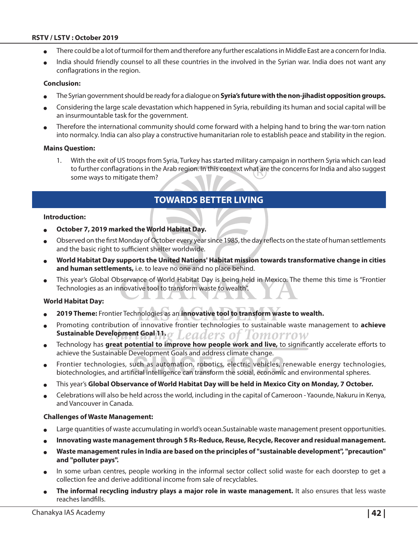- There could be a lot of turmoil for them and therefore any further escalations in Middle East are a concern for India.
- India should friendly counsel to all these countries in the involved in the Syrian war. India does not want any conflagrations in the region.

#### **Conclusion:**

- <sup>O</sup> The Syrian government should be ready for a dialogue on **Syria's future with the non-jihadist opposition groups.**
- <sup>O</sup> Considering the large scale devastation which happened in Syria, rebuilding its human and social capital will be an insurmountable task for the government.
- Therefore the international community should come forward with a helping hand to bring the war-torn nation into normalcy. India can also play a constructive humanitarian role to establish peace and stability in the region.

#### **Mains Question:**

1. With the exit of US troops from Syria, Turkey has started military campaign in northern Syria which can lead to further conflagrations in the Arab region. In this context what are the concerns for India and also suggest some ways to mitigate them?

## **Towards Better Living**

#### **Introduction:**

- October 7, 2019 marked the World Habitat Day.
- <sup>O</sup> Observed on the first Monday of October every year since 1985, the day reflects on the state of human settlements and the basic right to sufficient shelter worldwide.
- <sup>O</sup> **World Habitat Day supports the United Nations' Habitat mission towards transformative change in cities and human settlements,** i.e. to leave no one and no place behind.
- This year's Global Observance of World Habitat Day is being held in Mexico. The theme this time is "Frontier Technologies as an innovative tool to transform waste to wealth".

#### **World Habitat Day:**

- <sup>O</sup> **2019 Theme:** Frontier Technologies as an **innovative tool to transform waste to wealth.**
- Promoting contribution of innovative frontier technologies to sustainable waste management to **achieve Sustainable Development Goal 11.**  aders of Iomorrow
- Technology has great potential to improve how people work and live, to significantly accelerate efforts to achieve the Sustainable Development Goals and address climate change.
- Frontier technologies, such as automation, robotics, electric vehicles, renewable energy technologies, biotechnologies, and artificial intelligence can transform the social, economic and environmental spheres.
- <sup>O</sup> This year's **Global Observance of World Habitat Day will be held in Mexico City on Monday, 7 October.**
- <sup>O</sup> Celebrations will also be held across the world, including in the capital of Cameroon Yaounde, Nakuru in Kenya, and Vancouver in Canada.

#### **Challenges of Waste Management:**

- Large quantities of waste accumulating in world's ocean.Sustainable waste management present opportunities.
- Innovating waste management through 5 Rs-Reduce, Reuse, Recycle, Recover and residual management.
- <sup>O</sup> **Waste management rules in India are based on the principles of "sustainable development", "precaution" and "polluter pays".**
- In some urban centres, people working in the informal sector collect solid waste for each doorstep to get a collection fee and derive additional income from sale of recyclables.
- The informal recycling industry plays a major role in waste management. It also ensures that less waste reaches landfills.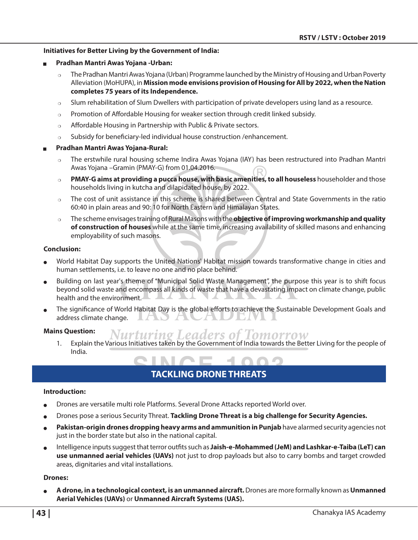#### **Initiatives for Better Living by the Government of India:**

- <sup>Q</sup> **Pradhan Mantri Awas Yojana -Urban:** 
	- $\circ$  The Pradhan Mantri Awas Yojana (Urban) Programme launched by the Ministry of Housing and Urban Poverty Alleviation (MoHUPA), in **Mission mode envisions provision of Housing for All by 2022, when the Nation completes 75 years of its Independence.**
	- $\circ$  Slum rehabilitation of Slum Dwellers with participation of private developers using land as a resource.
	- $\circ$  Promotion of Affordable Housing for weaker section through credit linked subsidy.
	- $\circ$  Affordable Housing in Partnership with Public & Private sectors.
	- $\circ$  Subsidy for beneficiary-led individual house construction /enhancement.

#### <sup>Q</sup> **Pradhan Mantri Awas Yojana-Rural:**

- $\circ$  The erstwhile rural housing scheme Indira Awas Yojana (IAY) has been restructured into Pradhan Mantri Awas Yojana –Gramin (PMAY-G) from 01.04.2016.
- **PMAY-G aims at providing a pucca house, with basic amenities, to all houseless** householder and those households living in kutcha and dilapidated house, by 2022.
- $\circ$  The cost of unit assistance in this scheme is shared between Central and State Governments in the ratio 60:40 in plain areas and 90: 10 for North Eastern and Himalayan States.
- <sup>P</sup> The scheme envisages training of Rural Masons with the **objective of improving workmanship and quality of construction of houses** while at the same time, increasing availability of skilled masons and enhancing employability of such masons.

#### **Conclusion:**

- World Habitat Day supports the United Nations' Habitat mission towards transformative change in cities and human settlements, i.e. to leave no one and no place behind.
- Building on last year's theme of "Municipal Solid Waste Management", the purpose this year is to shift focus beyond solid waste and encompass all kinds of waste that have a devastating impact on climate change, public health and the environment.
- The significance of World Habitat Day is the global efforts to achieve the Sustainable Development Goals and address climate change. JUS TO Z - 7

#### **Mains Question:**

Nurturing Leaders of omorrow 1. Explain the Various Initiatives taken by the Government of India towards the Better Living for the people of India.

# **Tackling Drone Threats**

#### **Introduction:**

- Drones are versatile multi role Platforms. Several Drone Attacks reported World over.
- Drones pose a serious Security Threat. **Tackling Drone Threat is a big challenge for Security Agencies.**
- Pakistan-origin drones dropping heavy arms and ammunition in Punjab have alarmed security agencies not just in the border state but also in the national capital.
- Intelligence inputs suggest that terror outfits such as **Jaish-e-Mohammed (JeM) and Lashkar-e-Taiba (LeT) can use unmanned aerial vehicles (UAVs)** not just to drop payloads but also to carry bombs and target crowded areas, dignitaries and vital installations.

#### **Drones:**

<sup>O</sup> **A drone, in a technological context, is an unmanned aircraft.** Drones are more formally known as **Unmanned Aerial Vehicles (UAVs)** or **Unmanned Aircraft Systems (UAS).**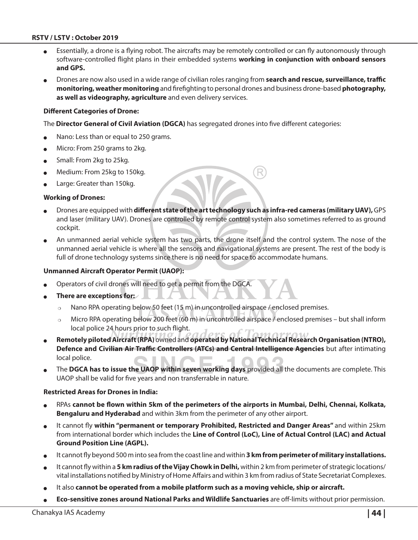- Essentially, a drone is a flying robot. The aircrafts may be remotely controlled or can fly autonomously through software-controlled flight plans in their embedded systems **working in conjunction with onboard sensors and GPS.**
- <sup>O</sup> Drones are now also used in a wide range of civilian roles ranging from **search and rescue, surveillance, traffic monitoring, weather monitoring** and firefighting to personal drones and business drone-based **photography, as well as videography, agriculture** and even delivery services.

#### **Different Categories of Drone:**

The **Director General of Civil Aviation (DGCA)** has segregated drones into five different categories:

- Nano: Less than or equal to 250 grams.
- Micro: From 250 grams to 2kg.
- $\bullet$  Small: From 2kg to 25kg.
- Medium: From 25kg to 150kg.
- Large: Greater than 150kg.

#### **Working of Drones:**

- Drones are equipped with different state of the art technology such as infra-red cameras (military UAV), GPS and laser (military UAV). Drones are controlled by remote control system also sometimes referred to as ground cockpit.
- An unmanned aerial vehicle system has two parts, the drone itself and the control system. The nose of the unmanned aerial vehicle is where all the sensors and navigational systems are present. The rest of the body is full of drone technology systems since there is no need for space to accommodate humans.

#### **Unmanned Aircraft Operator Permit (UAOP):**

- Operators of civil drones will need to get a permit from the DGCA.
- There are exceptions for:
	- $\circ$  Nano RPA operating below 50 feet (15 m) in uncontrolled airspace / enclosed premises.
	- $\circ$  Micro RPA operating below 200 feet (60 m) in uncontrolled airspace / enclosed premises but shall inform local police 24 hours prior to such flight.
- <sup>O</sup> **Remotely piloted Aircraft (RPA)** owned and **operated by National Technical Research Organisation (NTRO), Defence and Civilian Air Traffic Controllers (ATCs) and Central Intelligence Agencies** but after intimating local police.
- The DGCA has to issue the UAOP within seven working days provided all the documents are complete. This UAOP shall be valid for five years and non transferrable in nature.

#### **Restricted Areas for Drones in India:**

- <sup>O</sup> RPAs **cannot be flown within 5km of the perimeters of the airports in Mumbai, Delhi, Chennai, Kolkata, Bengaluru and Hyderabad** and within 3km from the perimeter of any other airport.
- It cannot fly within "permanent or temporary Prohibited, Restricted and Danger Areas" and within 25km from international border which includes the **Line of Control (LoC), Line of Actual Control (LAC) and Actual Ground Position Line (AGPL).**
- It cannot fly beyond 500 m into sea from the coast line and within **3 km from perimeter of military installations.**
- It cannot fly within a 5 km radius of the Vijay Chowk in Delhi, within 2 km from perimeter of strategic locations/ vital installations notified by Ministry of Home Affairs and within 3 km from radius of State Secretariat Complexes.
- It also cannot be operated from a mobile platform such as a moving vehicle, ship or aircraft.
- <sup>O</sup> **Eco-sensitive zones around National Parks and Wildlife Sanctuaries** are off-limits without prior permission.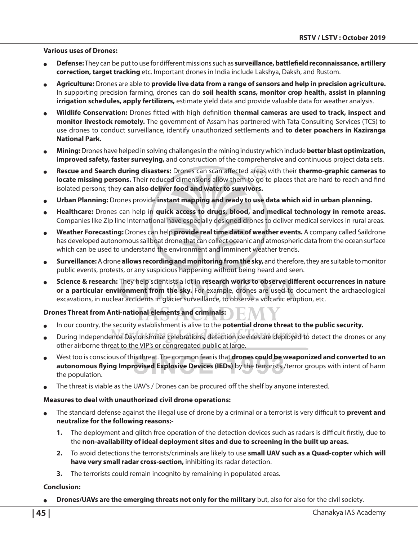#### **Various uses of Drones:**

- <sup>O</sup> **Defense:** They can be put to use for different missions such as **surveillance, battlefield reconnaissance, artillery correction, target tracking** etc. Important drones in India include Lakshya, Daksh, and Rustom.
- <sup>O</sup> **Agriculture:** Drones are able to **provide live data from a range of sensors and help in precision agriculture.** In supporting precision farming, drones can do **soil health scans, monitor crop health, assist in planning irrigation schedules, apply fertilizers,** estimate yield data and provide valuable data for weather analysis.
- <sup>O</sup> **Wildlife Conservation:** Drones fitted with high definition **thermal cameras are used to track, inspect and monitor livestock remotely.** The government of Assam has partnered with Tata Consulting Services (TCS) to use drones to conduct surveillance, identify unauthorized settlements and **to deter poachers in Kaziranga National Park.**
- <sup>O</sup> **Mining:** Drones have helped in solving challenges in the mining industry which include **better blast optimization, improved safety, faster surveying,** and construction of the comprehensive and continuous project data sets.
- <sup>O</sup> **Rescue and Search during disasters:** Drones can scan affected areas with their **thermo-graphic cameras to locate missing persons.** Their reduced dimensions allow them to go to places that are hard to reach and find isolated persons; they **can also deliver food and water to survivors.**
- <sup>O</sup> **Urban Planning:** Drones provide **instant mapping and ready to use data which aid in urban planning.**
- Healthcare: Drones can help in **quick access to drugs, blood, and medical technology in remote areas.** Companies like Zip line International have especially designed drones to deliver medical services in rural areas.
- Weather Forecasting: Drones can help **provide real time data of weather events.** A company called Saildrone has developed autonomous sailboat drone that can collect oceanic and atmospheric data from the ocean surface which can be used to understand the environment and imminent weather trends.
- <sup>O</sup> **Surveillance:** A drone **allows recording and monitoring from the sky,** and therefore, they are suitable to monitor public events, protests, or any suspicious happening without being heard and seen.
- <sup>O</sup> **Science & research:** They help scientists a lot in **research works to observe different occurrences in nature or a particular environment from the sky.** For example, drones are used to document the archaeological excavations, in nuclear accidents in glacier surveillance, to observe a volcanic eruption, etc.

#### **Drones Threat from Anti-national elements and criminals:**

- In our country, the security establishment is alive to the **potential drone threat to the public security.**
- During Independence Day or similar celebrations, detection devices are deployed to detect the drones or any other airborne threat to the VIP's or congregated public at large.
- West too is conscious of this threat. The common fear is that **drones could be weaponized and converted to an autonomous flying Improvised Explosive Devices (IEDs)** by the terrorists /terror groups with intent of harm the population.
- The threat is viable as the UAV's / Drones can be procured off the shelf by anyone interested.

#### **Measures to deal with unauthorized civil drone operations:**

- <sup>O</sup> The standard defense against the illegal use of drone by a criminal or a terrorist is very difficult to **prevent and neutralize for the following reasons:-** 
	- **1.** The deployment and glitch free operation of the detection devices such as radars is difficult firstly, due to the **non-availability of ideal deployment sites and due to screening in the built up areas.**
	- **2.** To avoid detections the terrorists/criminals are likely to use **small UAV such as a Quad-copter which will have very small radar cross-section,** inhibiting its radar detection.
	- **3.** The terrorists could remain incognito by remaining in populated areas.

#### **Conclusion:**

**Drones/UAVs are the emerging threats not only for the military** but, also for also for the civil society.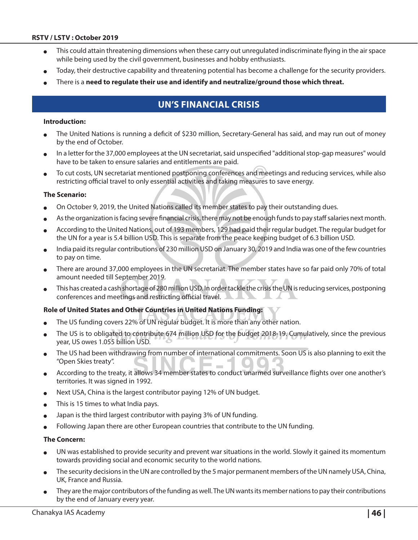- This could attain threatening dimensions when these carry out unregulated indiscriminate flying in the air space while being used by the civil government, businesses and hobby enthusiasts.
- Today, their destructive capability and threatening potential has become a challenge for the security providers.
- There is a need to regulate their use and identify and neutralize/ground those which threat.

# **UN's Financial Crisis**

#### **Introduction:**

- The United Nations is running a deficit of \$230 million, Secretary-General has said, and may run out of money by the end of October.
- In a letter for the 37,000 employees at the UN secretariat, said unspecified "additional stop-gap measures" would have to be taken to ensure salaries and entitlements are paid.
- <sup>O</sup> To cut costs, UN secretariat mentioned postponing conferences and meetings and reducing services, while also restricting official travel to only essential activities and taking measures to save energy.

#### **The Scenario:**

- On October 9, 2019, the United Nations called its member states to pay their outstanding dues.
- As the organization is facing severe financial crisis, there may not be enough funds to pay staff salaries next month.
- According to the United Nations, out of 193 members, 129 had paid their regular budget. The regular budget for the UN for a year is 5.4 billion USD. This is separate from the peace keeping budget of 6.3 billion USD.
- India paid its regular contributions of 230 million USD on January 30, 2019 and India was one of the few countries to pay on time.
- There are around 37,000 employees in the UN secretariat. The member states have so far paid only 70% of total amount needed till September 2019.
- This has created a cash shortage of 280 million USD. In order tackle the crisis the UN is reducing services, postponing conferences and meetings and restricting official travel.

#### **Role of United States and Other Countries in United Nations Funding:**

- The US funding covers 22% of UN regular budget. It is more than any other nation.
- The US is to obligated to contribute 674 million USD for the budget 2018-19. Cumulatively, since the previous year, US owes 1.055 billion USD.
- The US had been withdrawing from number of international commitments. Soon US is also planning to exit the "Open Skies treaty".
- According to the treaty, it allows 34 member states to conduct unarmed surveillance flights over one another's territories. It was signed in 1992.
- Next USA, China is the largest contributor paying 12% of UN budget.
- This is 15 times to what India pays.
- Japan is the third largest contributor with paying 3% of UN funding.
- Following Japan there are other European countries that contribute to the UN funding.

#### **The Concern:**

- UN was established to provide security and prevent war situations in the world. Slowly it gained its momentum towards providing social and economic security to the world nations.
- The security decisions in the UN are controlled by the 5 major permanent members of the UN namely USA, China, UK, France and Russia.
- They are the major contributors of the funding as well. The UN wants its member nations to pay their contributions by the end of January every year.